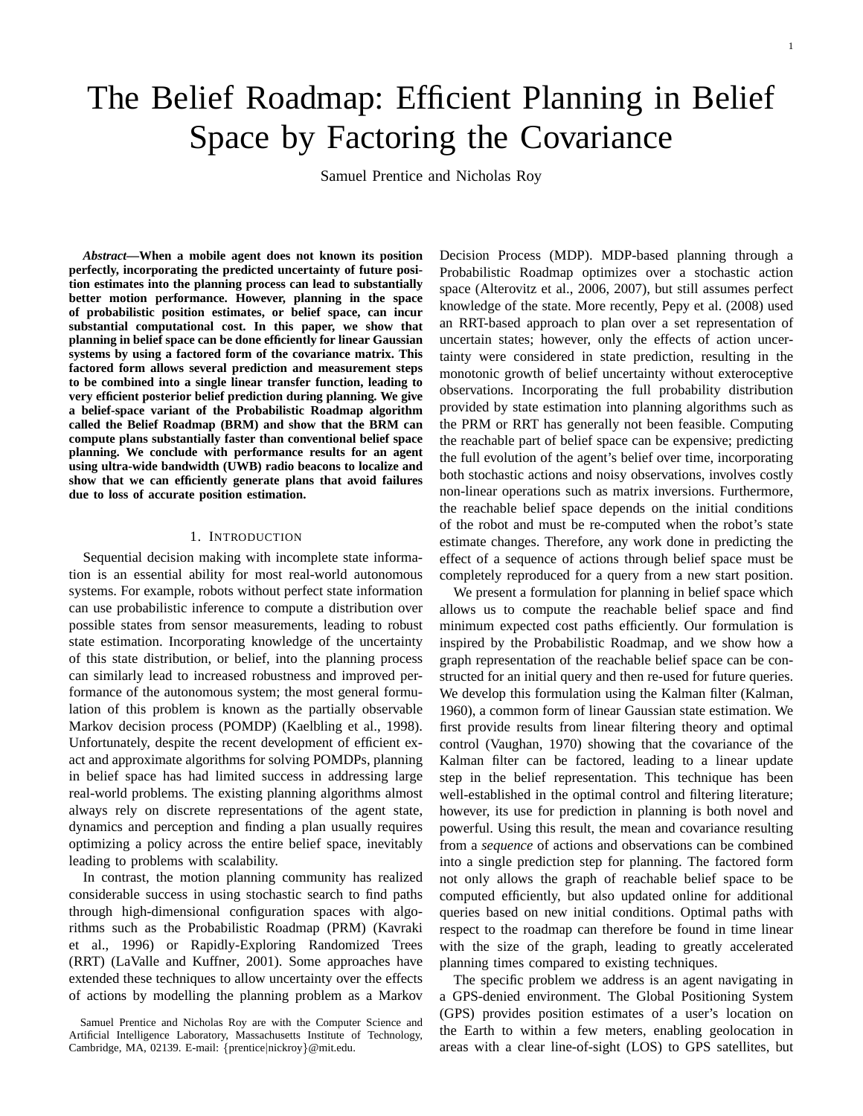# The Belief Roadmap: Efficient Planning in Belief Space by Factoring the Covariance

Samuel Prentice and Nicholas Roy

*Abstract***—When a mobile agent does not known its position perfectly, incorporating the predicted uncertainty of future position estimates into the planning process can lead to substantially better motion performance. However, planning in the space of probabilistic position estimates, or belief space, can incur substantial computational cost. In this paper, we show that planning in belief space can be done efficiently for linear Gaussian systems by using a factored form of the covariance matrix. This factored form allows several prediction and measurement steps to be combined into a single linear transfer function, leading to very efficient posterior belief prediction during planning. We give a belief-space variant of the Probabilistic Roadmap algorithm called the Belief Roadmap (BRM) and show that the BRM can compute plans substantially faster than conventional belief space planning. We conclude with performance results for an agent using ultra-wide bandwidth (UWB) radio beacons to localize and show that we can efficiently generate plans that avoid failures due to loss of accurate position estimation.**

## 1. INTRODUCTION

Sequential decision making with incomplete state information is an essential ability for most real-world autonomous systems. For example, robots without perfect state information can use probabilistic inference to compute a distribution over possible states from sensor measurements, leading to robust state estimation. Incorporating knowledge of the uncertainty of this state distribution, or belief, into the planning process can similarly lead to increased robustness and improved performance of the autonomous system; the most general formulation of this problem is known as the partially observable Markov decision process (POMDP) (Kaelbling et al., 1998). Unfortunately, despite the recent development of efficient exact and approximate algorithms for solving POMDPs, planning in belief space has had limited success in addressing large real-world problems. The existing planning algorithms almost always rely on discrete representations of the agent state, dynamics and perception and finding a plan usually requires optimizing a policy across the entire belief space, inevitably leading to problems with scalability.

In contrast, the motion planning community has realized considerable success in using stochastic search to find paths through high-dimensional configuration spaces with algorithms such as the Probabilistic Roadmap (PRM) (Kavraki et al., 1996) or Rapidly-Exploring Randomized Trees (RRT) (LaValle and Kuffner, 2001). Some approaches have extended these techniques to allow uncertainty over the effects of actions by modelling the planning problem as a Markov Decision Process (MDP). MDP-based planning through a Probabilistic Roadmap optimizes over a stochastic action space (Alterovitz et al., 2006, 2007), but still assumes perfect knowledge of the state. More recently, Pepy et al. (2008) used an RRT-based approach to plan over a set representation of uncertain states; however, only the effects of action uncertainty were considered in state prediction, resulting in the monotonic growth of belief uncertainty without exteroceptive observations. Incorporating the full probability distribution provided by state estimation into planning algorithms such as the PRM or RRT has generally not been feasible. Computing the reachable part of belief space can be expensive; predicting the full evolution of the agent's belief over time, incorporating both stochastic actions and noisy observations, involves costly non-linear operations such as matrix inversions. Furthermore, the reachable belief space depends on the initial conditions of the robot and must be re-computed when the robot's state estimate changes. Therefore, any work done in predicting the effect of a sequence of actions through belief space must be completely reproduced for a query from a new start position.

We present a formulation for planning in belief space which allows us to compute the reachable belief space and find minimum expected cost paths efficiently. Our formulation is inspired by the Probabilistic Roadmap, and we show how a graph representation of the reachable belief space can be constructed for an initial query and then re-used for future queries. We develop this formulation using the Kalman filter (Kalman, 1960), a common form of linear Gaussian state estimation. We first provide results from linear filtering theory and optimal control (Vaughan, 1970) showing that the covariance of the Kalman filter can be factored, leading to a linear update step in the belief representation. This technique has been well-established in the optimal control and filtering literature; however, its use for prediction in planning is both novel and powerful. Using this result, the mean and covariance resulting from a *sequence* of actions and observations can be combined into a single prediction step for planning. The factored form not only allows the graph of reachable belief space to be computed efficiently, but also updated online for additional queries based on new initial conditions. Optimal paths with respect to the roadmap can therefore be found in time linear with the size of the graph, leading to greatly accelerated planning times compared to existing techniques.

The specific problem we address is an agent navigating in a GPS-denied environment. The Global Positioning System (GPS) provides position estimates of a user's location on the Earth to within a few meters, enabling geolocation in areas with a clear line-of-sight (LOS) to GPS satellites, but

Samuel Prentice and Nicholas Roy are with the Computer Science and Artificial Intelligence Laboratory, Massachusetts Institute of Technology, Cambridge, MA, 02139. E-mail: {prentice|nickroy}@mit.edu.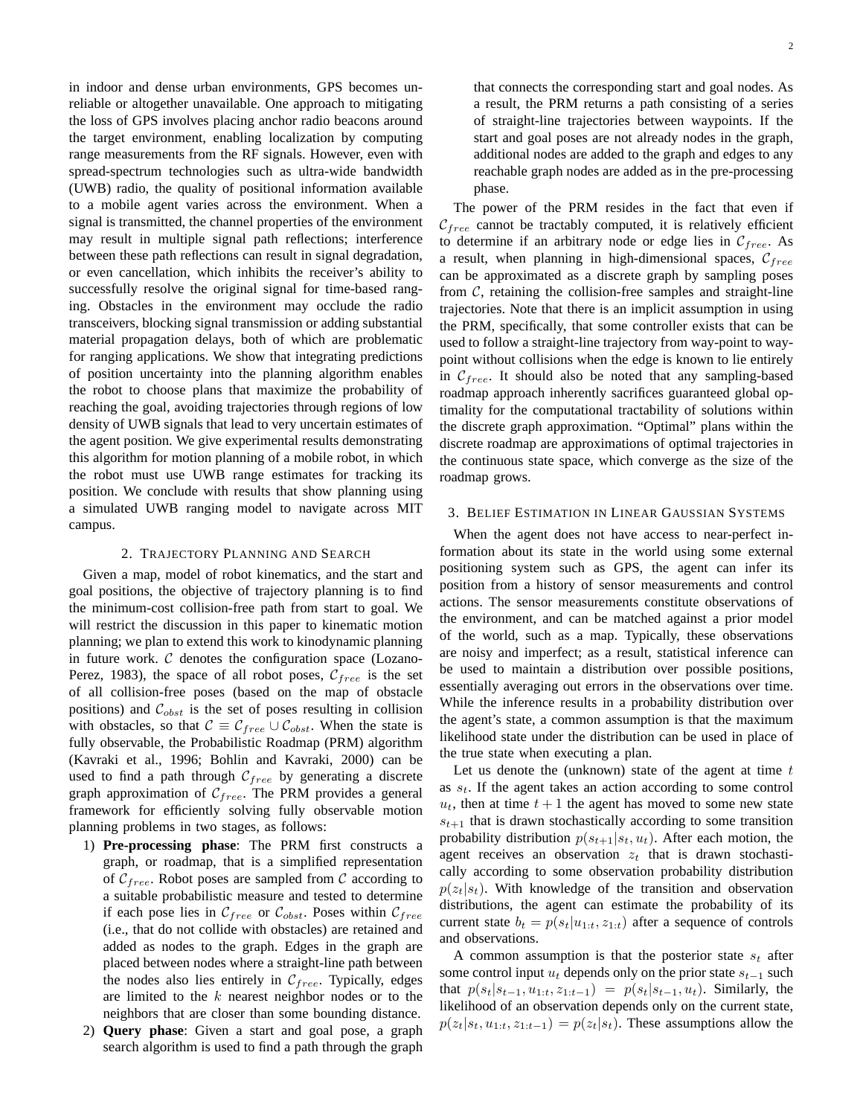in indoor and dense urban environments, GPS becomes unreliable or altogether unavailable. One approach to mitigating the loss of GPS involves placing anchor radio beacons around the target environment, enabling localization by computing range measurements from the RF signals. However, even with spread-spectrum technologies such as ultra-wide bandwidth (UWB) radio, the quality of positional information available to a mobile agent varies across the environment. When a signal is transmitted, the channel properties of the environment may result in multiple signal path reflections; interference between these path reflections can result in signal degradation, or even cancellation, which inhibits the receiver's ability to successfully resolve the original signal for time-based ranging. Obstacles in the environment may occlude the radio transceivers, blocking signal transmission or adding substantial material propagation delays, both of which are problematic for ranging applications. We show that integrating predictions of position uncertainty into the planning algorithm enables the robot to choose plans that maximize the probability of reaching the goal, avoiding trajectories through regions of low density of UWB signals that lead to very uncertain estimates of the agent position. We give experimental results demonstrating this algorithm for motion planning of a mobile robot, in which the robot must use UWB range estimates for tracking its position. We conclude with results that show planning using a simulated UWB ranging model to navigate across MIT campus.

#### 2. TRAJECTORY PLANNING AND SEARCH

Given a map, model of robot kinematics, and the start and goal positions, the objective of trajectory planning is to find the minimum-cost collision-free path from start to goal. We will restrict the discussion in this paper to kinematic motion planning; we plan to extend this work to kinodynamic planning in future work.  $C$  denotes the configuration space (Lozano-Perez, 1983), the space of all robot poses,  $C_{free}$  is the set of all collision-free poses (based on the map of obstacle positions) and  $\mathcal{C}_{obst}$  is the set of poses resulting in collision with obstacles, so that  $C \equiv C_{free} \cup C_{obst}$ . When the state is fully observable, the Probabilistic Roadmap (PRM) algorithm (Kavraki et al., 1996; Bohlin and Kavraki, 2000) can be used to find a path through  $C_{free}$  by generating a discrete graph approximation of  $C_{free}$ . The PRM provides a general framework for efficiently solving fully observable motion planning problems in two stages, as follows:

- 1) **Pre-processing phase**: The PRM first constructs a graph, or roadmap, that is a simplified representation of  $C_{free}$ . Robot poses are sampled from C according to a suitable probabilistic measure and tested to determine if each pose lies in  $C_{free}$  or  $C_{obst}$ . Poses within  $C_{free}$ (i.e., that do not collide with obstacles) are retained and added as nodes to the graph. Edges in the graph are placed between nodes where a straight-line path between the nodes also lies entirely in  $C_{free}$ . Typically, edges are limited to the  $k$  nearest neighbor nodes or to the neighbors that are closer than some bounding distance.
- 2) **Query phase**: Given a start and goal pose, a graph search algorithm is used to find a path through the graph

that connects the corresponding start and goal nodes. As a result, the PRM returns a path consisting of a series of straight-line trajectories between waypoints. If the start and goal poses are not already nodes in the graph, additional nodes are added to the graph and edges to any reachable graph nodes are added as in the pre-processing phase.

The power of the PRM resides in the fact that even if  $\mathcal{C}_{free}$  cannot be tractably computed, it is relatively efficient to determine if an arbitrary node or edge lies in  $C_{free}$ . As a result, when planning in high-dimensional spaces,  $C_{free}$ can be approximated as a discrete graph by sampling poses from  $C$ , retaining the collision-free samples and straight-line trajectories. Note that there is an implicit assumption in using the PRM, specifically, that some controller exists that can be used to follow a straight-line trajectory from way-point to waypoint without collisions when the edge is known to lie entirely in  $C_{free}$ . It should also be noted that any sampling-based roadmap approach inherently sacrifices guaranteed global optimality for the computational tractability of solutions within the discrete graph approximation. "Optimal" plans within the discrete roadmap are approximations of optimal trajectories in the continuous state space, which converge as the size of the roadmap grows.

# 3. BELIEF ESTIMATION IN LINEAR GAUSSIAN SYSTEMS

When the agent does not have access to near-perfect information about its state in the world using some external positioning system such as GPS, the agent can infer its position from a history of sensor measurements and control actions. The sensor measurements constitute observations of the environment, and can be matched against a prior model of the world, such as a map. Typically, these observations are noisy and imperfect; as a result, statistical inference can be used to maintain a distribution over possible positions, essentially averaging out errors in the observations over time. While the inference results in a probability distribution over the agent's state, a common assumption is that the maximum likelihood state under the distribution can be used in place of the true state when executing a plan.

Let us denote the (unknown) state of the agent at time  $t$ as  $s_t$ . If the agent takes an action according to some control  $u_t$ , then at time  $t + 1$  the agent has moved to some new state  $s_{t+1}$  that is drawn stochastically according to some transition probability distribution  $p(s_{t+1}|s_t, u_t)$ . After each motion, the agent receives an observation  $z_t$  that is drawn stochastically according to some observation probability distribution  $p(z_t|s_t)$ . With knowledge of the transition and observation distributions, the agent can estimate the probability of its current state  $b_t = p(s_t|u_{1:t}, z_{1:t})$  after a sequence of controls and observations.

A common assumption is that the posterior state  $s_t$  after some control input  $u_t$  depends only on the prior state  $s_{t-1}$  such that  $p(s_t|s_{t-1}, u_{1:t}, z_{1:t-1}) = p(s_t|s_{t-1}, u_t)$ . Similarly, the likelihood of an observation depends only on the current state,  $p(z_t|s_t, u_{1:t}, z_{1:t-1}) = p(z_t|s_t)$ . These assumptions allow the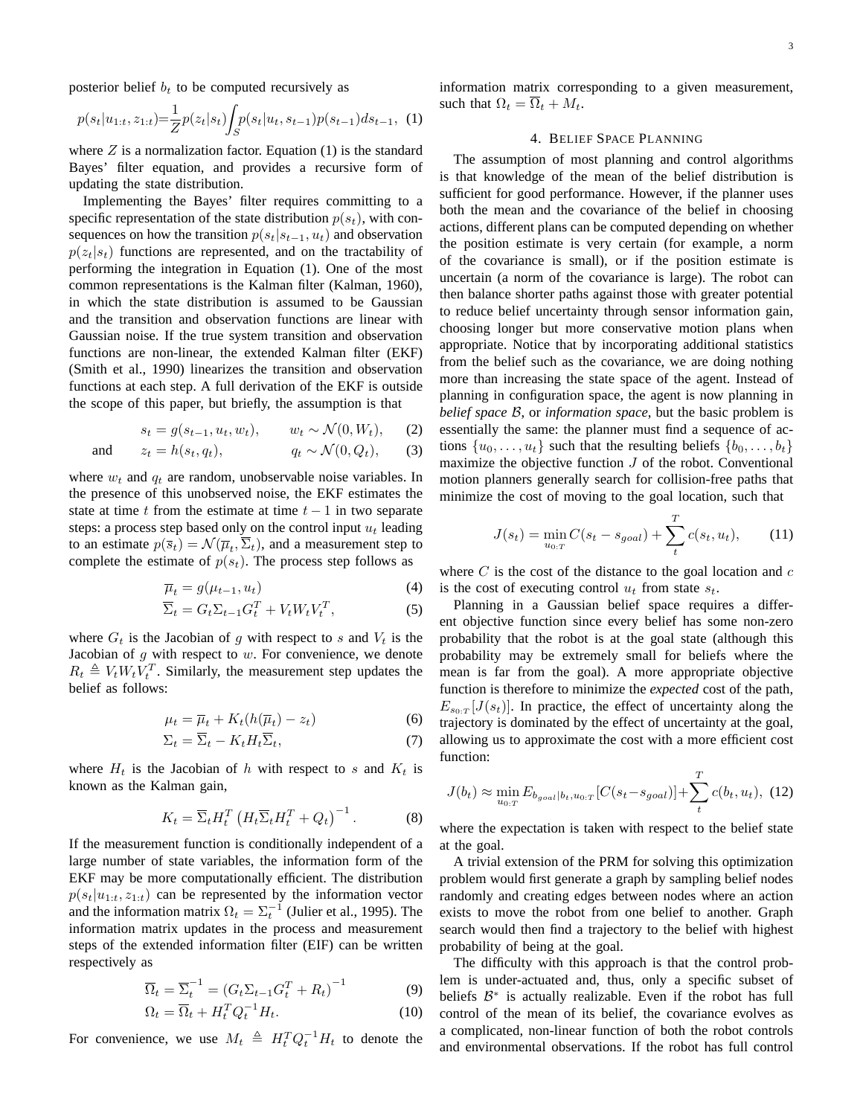posterior belief  $b_t$  to be computed recursively as

$$
p(s_t|u_{1:t}, z_{1:t}) = \frac{1}{Z}p(z_t|s_t)\int_S p(s_t|u_t, s_{t-1})p(s_{t-1})ds_{t-1}, \tag{1}
$$

where  $Z$  is a normalization factor. Equation (1) is the standard Bayes' filter equation, and provides a recursive form of updating the state distribution.

Implementing the Bayes' filter requires committing to a specific representation of the state distribution  $p(s_t)$ , with consequences on how the transition  $p(s_t|s_{t-1}, u_t)$  and observation  $p(z_t|s_t)$  functions are represented, and on the tractability of performing the integration in Equation (1). One of the most common representations is the Kalman filter (Kalman, 1960), in which the state distribution is assumed to be Gaussian and the transition and observation functions are linear with Gaussian noise. If the true system transition and observation functions are non-linear, the extended Kalman filter (EKF) (Smith et al., 1990) linearizes the transition and observation functions at each step. A full derivation of the EKF is outside the scope of this paper, but briefly, the assumption is that

$$
s_t = g(s_{t-1}, u_t, w_t), \qquad w_t \sim \mathcal{N}(0, W_t), \qquad (2)
$$

and 
$$
z_t = h(s_t, q_t),
$$
  $q_t \sim \mathcal{N}(0, Q_t),$  (3)

where  $w_t$  and  $q_t$  are random, unobservable noise variables. In the presence of this unobserved noise, the EKF estimates the state at time t from the estimate at time  $t - 1$  in two separate steps: a process step based only on the control input  $u_t$  leading to an estimate  $p(\overline{s}_t) = \mathcal{N}(\overline{\mu}_t, \Sigma_t)$ , and a measurement step to complete the estimate of  $p(s_t)$ . The process step follows as

$$
\overline{\mu}_t = g(\mu_{t-1}, u_t) \tag{4}
$$

$$
\overline{\Sigma}_t = G_t \Sigma_{t-1} G_t^T + V_t W_t V_t^T, \tag{5}
$$

where  $G_t$  is the Jacobian of g with respect to s and  $V_t$  is the Jacobian of  $g$  with respect to  $w$ . For convenience, we denote  $R_t \triangleq V_t W_t V_t^T$ . Similarly, the measurement step updates the belief as follows:

$$
\mu_t = \overline{\mu}_t + K_t (h(\overline{\mu}_t) - z_t)
$$
\n(6)

$$
\Sigma_t = \overline{\Sigma}_t - K_t H_t \overline{\Sigma}_t,\tag{7}
$$

where  $H_t$  is the Jacobian of h with respect to s and  $K_t$  is known as the Kalman gain,

$$
K_t = \overline{\Sigma}_t H_t^T \left( H_t \overline{\Sigma}_t H_t^T + Q_t \right)^{-1}.
$$
 (8)

If the measurement function is conditionally independent of a large number of state variables, the information form of the EKF may be more computationally efficient. The distribution  $p(s_t|u_{1:t}, z_{1:t})$  can be represented by the information vector and the information matrix  $\Omega_t = \Sigma_t^{-1}$  (Julier et al., 1995). The information matrix updates in the process and measurement steps of the extended information filter (EIF) can be written respectively as

$$
\overline{\Omega}_t = \overline{\Sigma}_t^{-1} = (G_t \Sigma_{t-1} G_t^T + R_t)^{-1}
$$
(9)

$$
\Omega_t = \overline{\Omega}_t + H_t^T Q_t^{-1} H_t. \tag{10}
$$

For convenience, we use  $M_t \triangleq H_t^T Q_t^{-1} H_t$  to denote the

information matrix corresponding to a given measurement, such that  $\Omega_t = \overline{\Omega}_t + M_t$ .

# 4. BELIEF SPACE PLANNING

The assumption of most planning and control algorithms is that knowledge of the mean of the belief distribution is sufficient for good performance. However, if the planner uses both the mean and the covariance of the belief in choosing actions, different plans can be computed depending on whether the position estimate is very certain (for example, a norm of the covariance is small), or if the position estimate is uncertain (a norm of the covariance is large). The robot can then balance shorter paths against those with greater potential to reduce belief uncertainty through sensor information gain, choosing longer but more conservative motion plans when appropriate. Notice that by incorporating additional statistics from the belief such as the covariance, we are doing nothing more than increasing the state space of the agent. Instead of planning in configuration space, the agent is now planning in *belief space* B, or *information space*, but the basic problem is essentially the same: the planner must find a sequence of actions  $\{u_0, \ldots, u_t\}$  such that the resulting beliefs  $\{b_0, \ldots, b_t\}$ maximize the objective function  $J$  of the robot. Conventional motion planners generally search for collision-free paths that minimize the cost of moving to the goal location, such that

$$
J(s_t) = \min_{u_{0:T}} C(s_t - s_{goal}) + \sum_{t}^{T} c(s_t, u_t),
$$
 (11)

where  $C$  is the cost of the distance to the goal location and  $c$ is the cost of executing control  $u_t$  from state  $s_t$ .

Planning in a Gaussian belief space requires a different objective function since every belief has some non-zero probability that the robot is at the goal state (although this probability may be extremely small for beliefs where the mean is far from the goal). A more appropriate objective function is therefore to minimize the *expected* cost of the path,  $E_{s_{0:T}}[J(s_t)]$ . In practice, the effect of uncertainty along the trajectory is dominated by the effect of uncertainty at the goal, allowing us to approximate the cost with a more efficient cost function:

$$
J(b_t) \approx \min_{u_{0:T}} E_{b_{goal}|b_t, u_{0:T}} [C(s_t - s_{goal})] + \sum_{t}^{T} c(b_t, u_t), \tag{12}
$$

where the expectation is taken with respect to the belief state at the goal.

A trivial extension of the PRM for solving this optimization problem would first generate a graph by sampling belief nodes randomly and creating edges between nodes where an action exists to move the robot from one belief to another. Graph search would then find a trajectory to the belief with highest probability of being at the goal.

The difficulty with this approach is that the control problem is under-actuated and, thus, only a specific subset of beliefs  $\mathcal{B}^*$  is actually realizable. Even if the robot has full control of the mean of its belief, the covariance evolves as a complicated, non-linear function of both the robot controls and environmental observations. If the robot has full control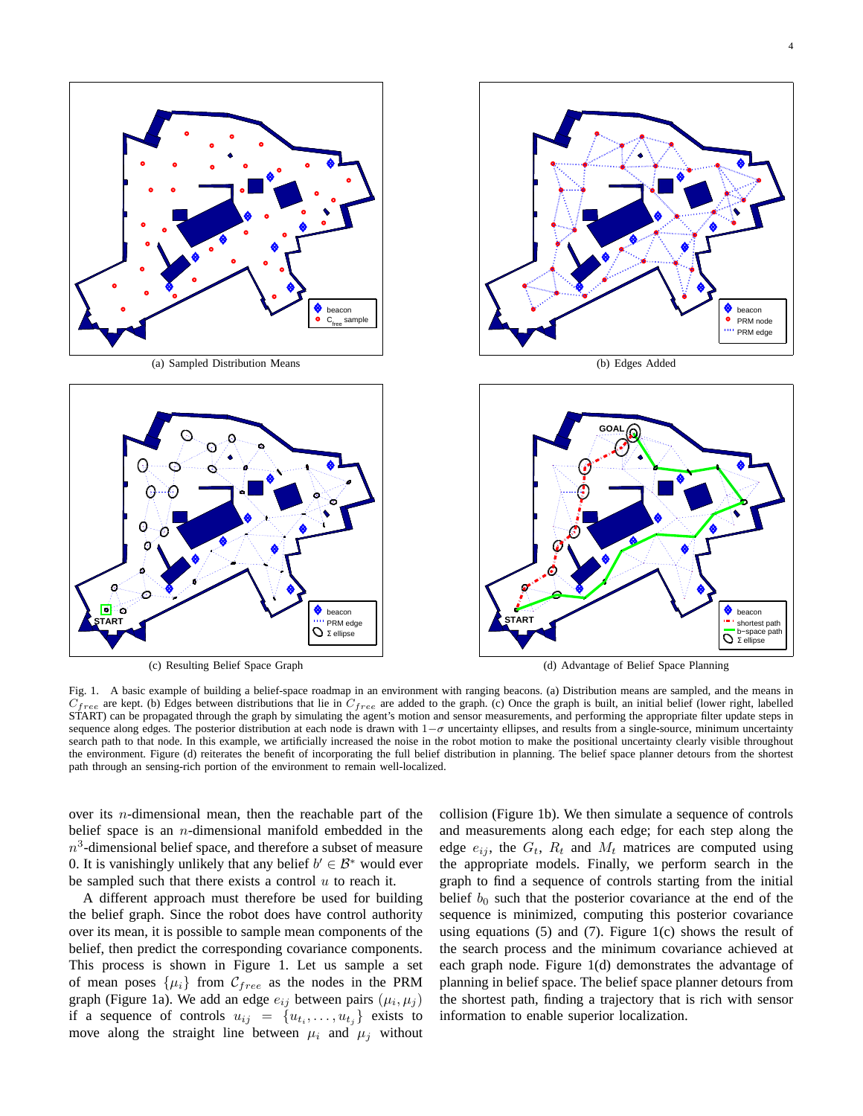

(c) Resulting Belief Space Graph

(d) Advantage of Belief Space Planning

Fig. 1. A basic example of building a belief-space roadmap in an environment with ranging beacons. (a) Distribution means are sampled, and the means in  $C_{free}$  are kept. (b) Edges between distributions that lie in  $C_{free}$  are added to the graph. (c) Once the graph is built, an initial belief (lower right, labelled START) can be propagated through the graph by simulating the agent's motion and sensor measurements, and performing the appropriate filter update steps in sequence along edges. The posterior distribution at each node is drawn with  $1-\sigma$  uncertainty ellipses, and results from a single-source, minimum uncertainty search path to that node. In this example, we artificially increased the noise in the robot motion to make the positional uncertainty clearly visible throughout the environment. Figure (d) reiterates the benefit of incorporating the full belief distribution in planning. The belief space planner detours from the shortest path through an sensing-rich portion of the environment to remain well-localized.

over its *n*-dimensional mean, then the reachable part of the belief space is an  $n$ -dimensional manifold embedded in the  $n<sup>3</sup>$ -dimensional belief space, and therefore a subset of measure 0. It is vanishingly unlikely that any belief  $b' \in \mathcal{B}^*$  would ever be sampled such that there exists a control  $u$  to reach it.

A different approach must therefore be used for building the belief graph. Since the robot does have control authority over its mean, it is possible to sample mean components of the belief, then predict the corresponding covariance components. This process is shown in Figure 1. Let us sample a set of mean poses  $\{\mu_i\}$  from  $\mathcal{C}_{free}$  as the nodes in the PRM graph (Figure 1a). We add an edge  $e_{ij}$  between pairs  $(\mu_i, \mu_j)$ if a sequence of controls  $u_{ij} = \{u_{t_i}, \dots, u_{t_j}\}\)$  exists to move along the straight line between  $\mu_i$  and  $\mu_j$  without collision (Figure 1b). We then simulate a sequence of controls and measurements along each edge; for each step along the edge  $e_{ij}$ , the  $G_t$ ,  $R_t$  and  $M_t$  matrices are computed using the appropriate models. Finally, we perform search in the graph to find a sequence of controls starting from the initial belief  $b_0$  such that the posterior covariance at the end of the sequence is minimized, computing this posterior covariance using equations  $(5)$  and  $(7)$ . Figure 1 $(c)$  shows the result of the search process and the minimum covariance achieved at each graph node. Figure 1(d) demonstrates the advantage of planning in belief space. The belief space planner detours from the shortest path, finding a trajectory that is rich with sensor information to enable superior localization.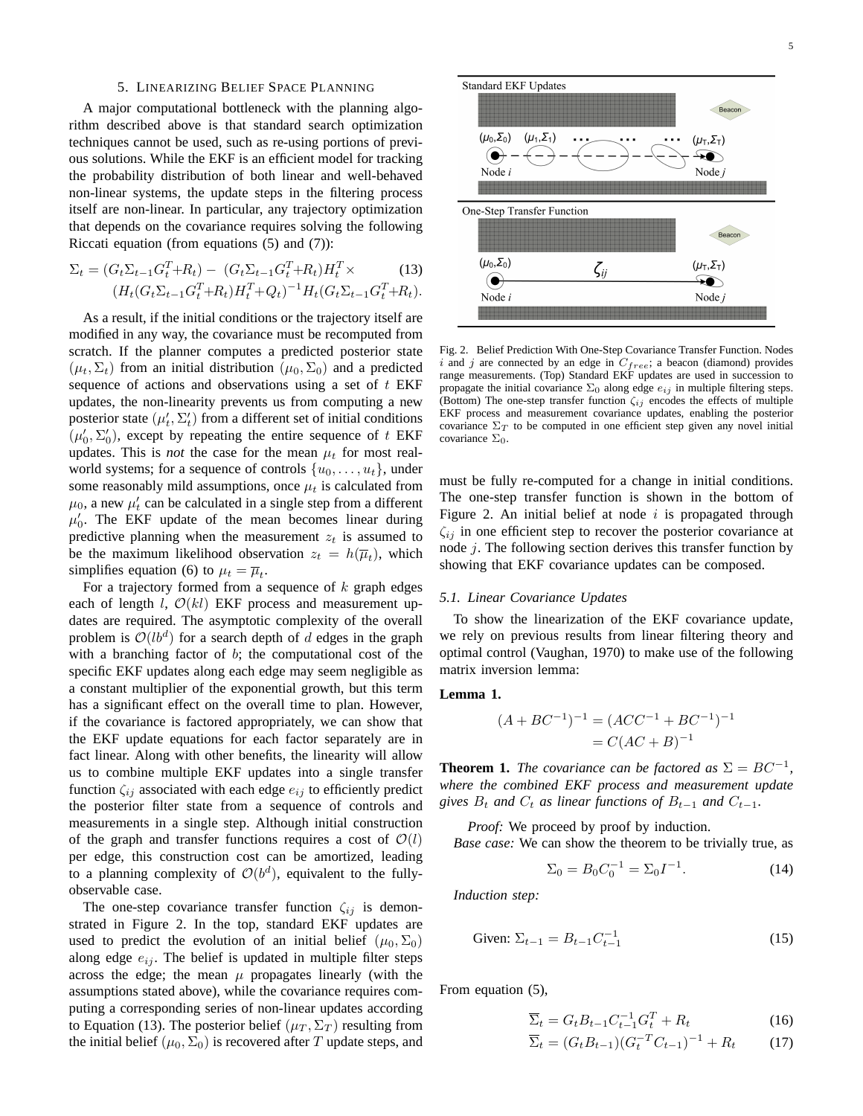## 5. LINEARIZING BELIEF SPACE PLANNING

A major computational bottleneck with the planning algorithm described above is that standard search optimization techniques cannot be used, such as re-using portions of previous solutions. While the EKF is an efficient model for tracking the probability distribution of both linear and well-behaved non-linear systems, the update steps in the filtering process itself are non-linear. In particular, any trajectory optimization that depends on the covariance requires solving the following Riccati equation (from equations (5) and (7)):

$$
\Sigma_t = (G_t \Sigma_{t-1} G_t^T + R_t) - (G_t \Sigma_{t-1} G_t^T + R_t) H_t^T \times (13)
$$
  

$$
(H_t (G_t \Sigma_{t-1} G_t^T + R_t) H_t^T + Q_t)^{-1} H_t (G_t \Sigma_{t-1} G_t^T + R_t).
$$

As a result, if the initial conditions or the trajectory itself are modified in any way, the covariance must be recomputed from scratch. If the planner computes a predicted posterior state  $(\mu_t, \Sigma_t)$  from an initial distribution  $(\mu_0, \Sigma_0)$  and a predicted sequence of actions and observations using a set of  $t$  EKF updates, the non-linearity prevents us from computing a new posterior state  $(\mu_t', \Sigma_t')$  from a different set of initial conditions  $(\mu'_0, \Sigma'_0)$ , except by repeating the entire sequence of t EKF updates. This is *not* the case for the mean  $\mu_t$  for most realworld systems; for a sequence of controls  $\{u_0, \ldots, u_t\}$ , under some reasonably mild assumptions, once  $\mu_t$  is calculated from  $\mu_0$ , a new  $\mu'_t$  can be calculated in a single step from a different  $\mu'_{0}$ . The EKF update of the mean becomes linear during predictive planning when the measurement  $z_t$  is assumed to be the maximum likelihood observation  $z_t = h(\overline{\mu}_t)$ , which simplifies equation (6) to  $\mu_t = \overline{\mu}_t$ .

For a trajectory formed from a sequence of  $k$  graph edges each of length  $l$ ,  $\mathcal{O}(kl)$  EKF process and measurement updates are required. The asymptotic complexity of the overall problem is  $O(lb^d)$  for a search depth of d edges in the graph with a branching factor of b; the computational cost of the specific EKF updates along each edge may seem negligible as a constant multiplier of the exponential growth, but this term has a significant effect on the overall time to plan. However, if the covariance is factored appropriately, we can show that the EKF update equations for each factor separately are in fact linear. Along with other benefits, the linearity will allow us to combine multiple EKF updates into a single transfer function  $\zeta_{ij}$  associated with each edge  $e_{ij}$  to efficiently predict the posterior filter state from a sequence of controls and measurements in a single step. Although initial construction of the graph and transfer functions requires a cost of  $\mathcal{O}(l)$ per edge, this construction cost can be amortized, leading to a planning complexity of  $\mathcal{O}(b^d)$ , equivalent to the fullyobservable case.

The one-step covariance transfer function  $\zeta_{ij}$  is demonstrated in Figure 2. In the top, standard EKF updates are used to predict the evolution of an initial belief  $(\mu_0, \Sigma_0)$ along edge  $e_{ij}$ . The belief is updated in multiple filter steps across the edge; the mean  $\mu$  propagates linearly (with the assumptions stated above), while the covariance requires computing a corresponding series of non-linear updates according to Equation (13). The posterior belief  $(\mu_T, \Sigma_T)$  resulting from the initial belief  $(\mu_0, \Sigma_0)$  is recovered after T update steps, and



Fig. 2. Belief Prediction With One-Step Covariance Transfer Function. Nodes i and j are connected by an edge in  $C_{free}$ ; a beacon (diamond) provides range measurements. (Top) Standard EKF updates are used in succession to propagate the initial covariance  $\Sigma_0$  along edge  $e_{ij}$  in multiple filtering steps. (Bottom) The one-step transfer function  $\zeta_{ij}$  encodes the effects of multiple EKF process and measurement covariance updates, enabling the posterior covariance  $\Sigma_T$  to be computed in one efficient step given any novel initial covariance  $\Sigma_0$ .

must be fully re-computed for a change in initial conditions. The one-step transfer function is shown in the bottom of Figure 2. An initial belief at node  $i$  is propagated through  $\zeta_{ij}$  in one efficient step to recover the posterior covariance at node  $j$ . The following section derives this transfer function by showing that EKF covariance updates can be composed.

# *5.1. Linear Covariance Updates*

To show the linearization of the EKF covariance update, we rely on previous results from linear filtering theory and optimal control (Vaughan, 1970) to make use of the following matrix inversion lemma:

**Lemma 1.**

$$
(A + BC^{-1})^{-1} = (ACC^{-1} + BC^{-1})^{-1}
$$

$$
= C(AC + B)^{-1}
$$

**Theorem 1.** *The covariance can be factored as*  $\Sigma = BC^{-1}$ , *where the combined EKF process and measurement update gives*  $B_t$  *and*  $C_t$  *as linear functions of*  $B_{t-1}$  *and*  $C_{t-1}$ *.* 

*Proof:* We proceed by proof by induction. *Base case:* We can show the theorem to be trivially true, as

$$
\Sigma_0 = B_0 C_0^{-1} = \Sigma_0 I^{-1}.
$$
 (14)

*Induction step:*

Given: 
$$
\Sigma_{t-1} = B_{t-1} C_{t-1}^{-1}
$$
 (15)

From equation (5),

$$
\overline{\Sigma}_t = G_t B_{t-1} C_{t-1}^{-1} G_t^T + R_t \tag{16}
$$

$$
\overline{\Sigma}_t = (G_t B_{t-1})(G_t^{-T} C_{t-1})^{-1} + R_t \tag{17}
$$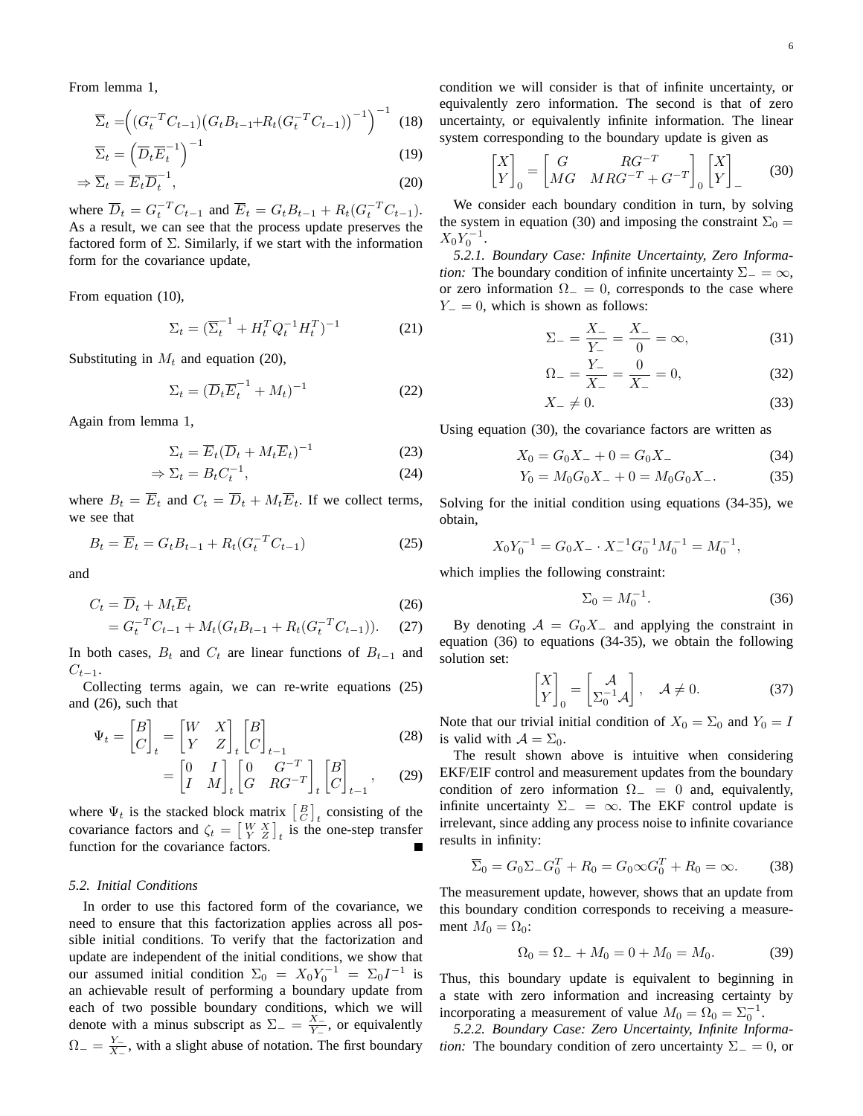From lemma 1,

$$
\overline{\Sigma}_t = \left( \left( G_t^{-T} C_{t-1} \right) \left( G_t B_{t-1} + R_t \left( G_t^{-T} C_{t-1} \right) \right)^{-1} \right)^{-1} \tag{18}
$$

$$
\overline{\Sigma}_t = \left(\overline{D}_t \overline{E}_t^{-1}\right)^{-1} \tag{19}
$$

$$
\Rightarrow \overline{\Sigma}_t = \overline{E}_t \overline{D}_t^{-1},\tag{20}
$$

where  $\overline{D}_t = G_t^{-T} C_{t-1}$  and  $\overline{E}_t = G_t B_{t-1} + R_t (G_t^{-T} C_{t-1}).$ As a result, we can see that the process update preserves the factored form of  $\Sigma$ . Similarly, if we start with the information form for the covariance update,

From equation (10),

$$
\Sigma_t = (\overline{\Sigma}_t^{-1} + H_t^T Q_t^{-1} H_t^T)^{-1}
$$
 (21)

Substituting in  $M_t$  and equation (20),

$$
\Sigma_t = (\overline{D}_t \overline{E}_t^{-1} + M_t)^{-1} \tag{22}
$$

Again from lemma 1,

$$
\Sigma_t = \overline{E}_t (\overline{D}_t + M_t \overline{E}_t)^{-1}
$$
\n(23)

$$
\Rightarrow \Sigma_t = B_t C_t^{-1},\tag{24}
$$

where  $B_t = \overline{E}_t$  and  $C_t = \overline{D}_t + M_t \overline{E}_t$ . If we collect terms, we see that

$$
B_t = \overline{E}_t = G_t B_{t-1} + R_t (G_t^{-T} C_{t-1})
$$
\n(25)

and

$$
C_t = \overline{D}_t + M_t \overline{E}_t \tag{26}
$$

$$
= G_t^{-T} C_{t-1} + M_t (G_t B_{t-1} + R_t (G_t^{-T} C_{t-1})).
$$
 (27)

In both cases,  $B_t$  and  $C_t$  are linear functions of  $B_{t-1}$  and  $C_{t-1}$ .

Collecting terms again, we can re-write equations (25) and (26), such that

$$
\Psi_t = \begin{bmatrix} B \\ C \end{bmatrix}_t = \begin{bmatrix} W & X \\ Y & Z \end{bmatrix}_t \begin{bmatrix} B \\ C \end{bmatrix}_{t-1}
$$
 (28)

$$
= \begin{bmatrix} 0 & I \\ I & M \end{bmatrix}_t \begin{bmatrix} 0 & G^{-T} \\ G & RG^{-T} \end{bmatrix}_t \begin{bmatrix} B \\ C \end{bmatrix}_{t-1}, \quad (29)
$$

where  $\Psi_t$  is the stacked block matrix  $\begin{bmatrix} B \\ C \end{bmatrix}_t$  consisting of the covariance factors and  $\zeta_t = \begin{bmatrix} W & X \\ Y & Z \end{bmatrix}_t$  is the one-step transfer function for the covariance factors.

# *5.2. Initial Conditions*

In order to use this factored form of the covariance, we need to ensure that this factorization applies across all possible initial conditions. To verify that the factorization and update are independent of the initial conditions, we show that our assumed initial condition  $\Sigma_0 = X_0 Y_0^{-1} = \Sigma_0 I^{-1}$  is an achievable result of performing a boundary update from each of two possible boundary conditions, which we will denote with a minus subscript as  $\Sigma = \frac{X_-}{Y_-}$  $\frac{A_{-}}{Y_{-}}$ , or equivalently  $\Omega_{-} = \frac{Y_{-}}{X_{-}}$  $\frac{Y-}{X-}$ , with a slight abuse of notation. The first boundary

condition we will consider is that of infinite uncertainty, or equivalently zero information. The second is that of zero uncertainty, or equivalently infinite information. The linear system corresponding to the boundary update is given as

$$
\begin{bmatrix} X \\ Y \end{bmatrix}_0 = \begin{bmatrix} G & RG^{-T} \\ MG & MRG^{-T} + G^{-T} \end{bmatrix}_0 \begin{bmatrix} X \\ Y \end{bmatrix}_- \tag{30}
$$

We consider each boundary condition in turn, by solving the system in equation (30) and imposing the constraint  $\Sigma_0 =$  $X_0Y_0^{-1}$ .

*5.2.1. Boundary Case: Infinite Uncertainty, Zero Information:* The boundary condition of infinite uncertainty  $\Sigma = \infty$ , or zero information  $\Omega = 0$ , corresponds to the case where  $Y_ = 0$ , which is shown as follows:

$$
\Sigma_{-} = \frac{X_{-}}{Y_{-}} = \frac{X_{-}}{0} = \infty, \tag{31}
$$

$$
\Omega_{-} = \frac{Y_{-}}{X_{-}} = \frac{0}{X_{-}} = 0, \tag{32}
$$

$$
X_{-} \neq 0. \tag{33}
$$

Using equation (30), the covariance factors are written as

$$
X_0 = G_0 X_- + 0 = G_0 X_- \tag{34}
$$

$$
Y_0 = M_0 G_0 X_- + 0 = M_0 G_0 X_-.
$$
 (35)

Solving for the initial condition using equations (34-35), we obtain,

$$
X_0 Y_0^{-1} = G_0 X_- \cdot X_-^{-1} G_0^{-1} M_0^{-1} = M_0^{-1},
$$

which implies the following constraint:

$$
\Sigma_0 = M_0^{-1}.\tag{36}
$$

By denoting  $A = G_0 X_$  and applying the constraint in equation (36) to equations (34-35), we obtain the following solution set:

$$
\begin{bmatrix} X \\ Y \end{bmatrix}_0 = \begin{bmatrix} \mathcal{A} \\ \Sigma_0^{-1} \mathcal{A} \end{bmatrix}, \quad \mathcal{A} \neq 0. \tag{37}
$$

Note that our trivial initial condition of  $X_0 = \Sigma_0$  and  $Y_0 = I$ is valid with  $A = \Sigma_0$ .

The result shown above is intuitive when considering EKF/EIF control and measurement updates from the boundary condition of zero information  $\Omega_-=0$  and, equivalently, infinite uncertainty  $\Sigma_-=\infty$ . The EKF control update is irrelevant, since adding any process noise to infinite covariance results in infinity:

$$
\overline{\Sigma}_0 = G_0 \Sigma_- G_0^T + R_0 = G_0 \infty G_0^T + R_0 = \infty.
$$
 (38)

The measurement update, however, shows that an update from this boundary condition corresponds to receiving a measurement  $M_0 = \Omega_0$ :

$$
\Omega_0 = \Omega_- + M_0 = 0 + M_0 = M_0. \tag{39}
$$

Thus, this boundary update is equivalent to beginning in a state with zero information and increasing certainty by incorporating a measurement of value  $M_0 = \Omega_0 = \Sigma_0^{-1}$ .

*5.2.2. Boundary Case: Zero Uncertainty, Infinite Information:* The boundary condition of zero uncertainty  $\Sigma = 0$ , or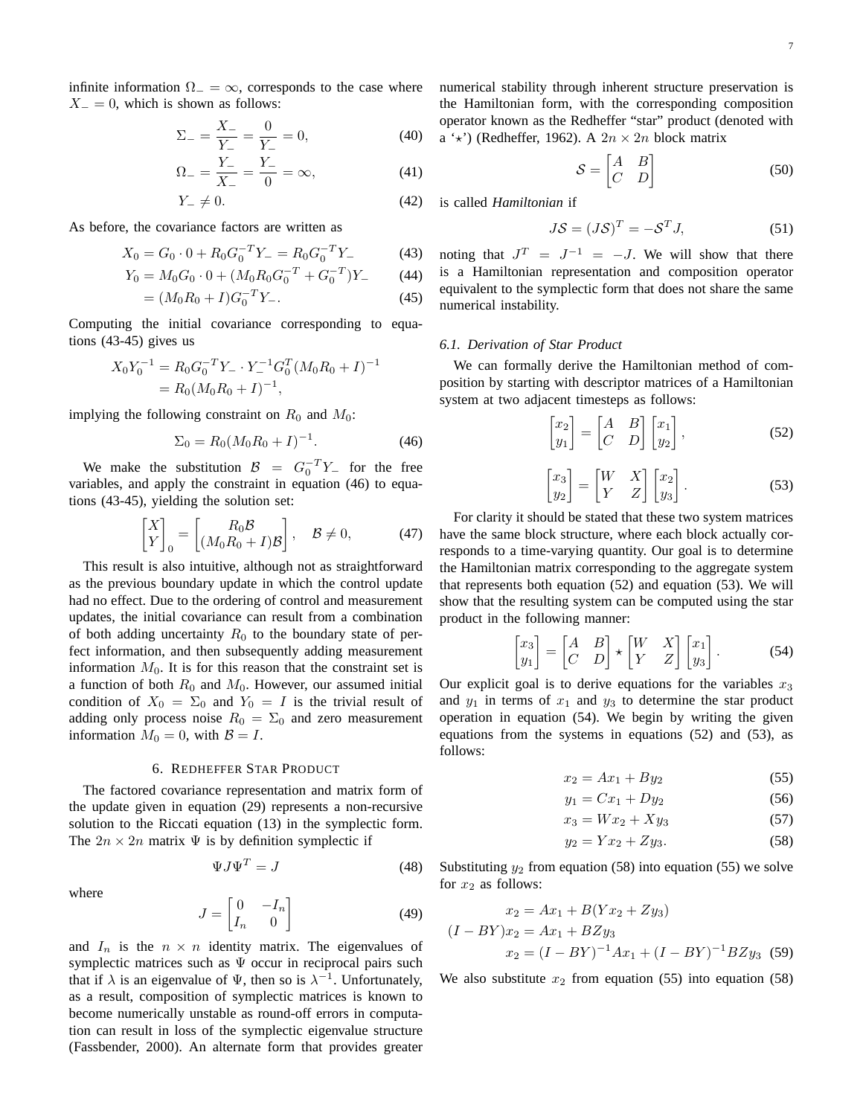infinite information  $\Omega = \infty$ , corresponds to the case where  $X_$  = 0, which is shown as follows:

$$
\Sigma_{-} = \frac{X_{-}}{Y_{-}} = \frac{0}{Y_{-}} = 0, \tag{40}
$$

$$
\Omega_{-} = \frac{Y_{-}}{X_{-}} = \frac{Y_{-}}{0} = \infty, \tag{41}
$$

$$
Y_{-} \neq 0. \tag{42}
$$

As before, the covariance factors are written as

$$
X_0 = G_0 \cdot 0 + R_0 G_0^{-T} Y_- = R_0 G_0^{-T} Y_- \tag{43}
$$

$$
Y_0 = M_0 G_0 \cdot 0 + (M_0 R_0 G_0^{-T} + G_0^{-T}) Y_- \tag{44}
$$

$$
= (M_0 R_0 + I) G_0^{-T} Y_{-}.
$$
\n(45)

Computing the initial covariance corresponding to equations (43-45) gives us

$$
X_0 Y_0^{-1} = R_0 G_0^{-T} Y_- \cdot Y_-^{-1} G_0^{T} (M_0 R_0 + I)^{-1}
$$
  
=  $R_0 (M_0 R_0 + I)^{-1}$ ,

implying the following constraint on  $R_0$  and  $M_0$ :

$$
\Sigma_0 = R_0 (M_0 R_0 + I)^{-1}.
$$
 (46)

We make the substitution  $\mathcal{B} = G_0^{-T} Y_+$  for the free variables, and apply the constraint in equation (46) to equations (43-45), yielding the solution set:

$$
\begin{bmatrix} X \\ Y \end{bmatrix}_0 = \begin{bmatrix} R_0 \mathcal{B} \\ (M_0 R_0 + I) \mathcal{B} \end{bmatrix}, \quad \mathcal{B} \neq 0,
$$
 (47)

This result is also intuitive, although not as straightforward as the previous boundary update in which the control update had no effect. Due to the ordering of control and measurement updates, the initial covariance can result from a combination of both adding uncertainty  $R_0$  to the boundary state of perfect information, and then subsequently adding measurement information  $M_0$ . It is for this reason that the constraint set is a function of both  $R_0$  and  $M_0$ . However, our assumed initial condition of  $X_0 = \Sigma_0$  and  $Y_0 = I$  is the trivial result of adding only process noise  $R_0 = \Sigma_0$  and zero measurement information  $M_0 = 0$ , with  $\mathcal{B} = I$ .

## 6. REDHEFFER STAR PRODUCT

The factored covariance representation and matrix form of the update given in equation (29) represents a non-recursive solution to the Riccati equation (13) in the symplectic form. The  $2n \times 2n$  matrix  $\Psi$  is by definition symplectic if

$$
\Psi J \Psi^T = J \tag{48}
$$

where

$$
J = \begin{bmatrix} 0 & -I_n \\ I_n & 0 \end{bmatrix}
$$
 (49)

and  $I_n$  is the  $n \times n$  identity matrix. The eigenvalues of symplectic matrices such as  $\Psi$  occur in reciprocal pairs such that if  $\lambda$  is an eigenvalue of  $\Psi$ , then so is  $\lambda^{-1}$ . Unfortunately, as a result, composition of symplectic matrices is known to become numerically unstable as round-off errors in computation can result in loss of the symplectic eigenvalue structure (Fassbender, 2000). An alternate form that provides greater numerical stability through inherent structure preservation is the Hamiltonian form, with the corresponding composition operator known as the Redheffer "star" product (denoted with a ' $\star$ ') (Redheffer, 1962). A  $2n \times 2n$  block matrix

$$
\mathcal{S} = \begin{bmatrix} A & B \\ C & D \end{bmatrix} \tag{50}
$$

is called *Hamiltonian* if

$$
J\mathcal{S} = (J\mathcal{S})^T = -\mathcal{S}^T J,\tag{51}
$$

noting that  $J^T = J^{-1} = -J$ . We will show that there is a Hamiltonian representation and composition operator equivalent to the symplectic form that does not share the same numerical instability.

### *6.1. Derivation of Star Product*

We can formally derive the Hamiltonian method of composition by starting with descriptor matrices of a Hamiltonian system at two adjacent timesteps as follows:

$$
\begin{bmatrix} x_2 \\ y_1 \end{bmatrix} = \begin{bmatrix} A & B \\ C & D \end{bmatrix} \begin{bmatrix} x_1 \\ y_2 \end{bmatrix},
$$
 (52)

$$
\begin{bmatrix} x_3 \\ y_2 \end{bmatrix} = \begin{bmatrix} W & X \\ Y & Z \end{bmatrix} \begin{bmatrix} x_2 \\ y_3 \end{bmatrix} . \tag{53}
$$

For clarity it should be stated that these two system matrices have the same block structure, where each block actually corresponds to a time-varying quantity. Our goal is to determine the Hamiltonian matrix corresponding to the aggregate system that represents both equation (52) and equation (53). We will show that the resulting system can be computed using the star product in the following manner:

$$
\begin{bmatrix} x_3 \\ y_1 \end{bmatrix} = \begin{bmatrix} A & B \\ C & D \end{bmatrix} \star \begin{bmatrix} W & X \\ Y & Z \end{bmatrix} \begin{bmatrix} x_1 \\ y_3 \end{bmatrix}.
$$
 (54)

Our explicit goal is to derive equations for the variables  $x_3$ and  $y_1$  in terms of  $x_1$  and  $y_3$  to determine the star product operation in equation (54). We begin by writing the given equations from the systems in equations (52) and (53), as follows:

$$
x_2 = Ax_1 + By_2 \tag{55}
$$

$$
y_1 = Cx_1 + Dy_2 \tag{56}
$$

$$
x_3 = Wx_2 + Xy_3 \tag{57}
$$

$$
y_2 = Yx_2 + Zy_3. \t\t(58)
$$

Substituting  $y_2$  from equation (58) into equation (55) we solve for  $x_2$  as follows:

$$
x_2 = Ax_1 + B(Yx_2 + Zy_3)
$$
  
(I - BY) $x_2 = Ax_1 + BZy_3$   
 $x_2 = (I - BY)^{-1}Ax_1 + (I - BY)^{-1}BZy_3$  (59)

We also substitute  $x_2$  from equation (55) into equation (58)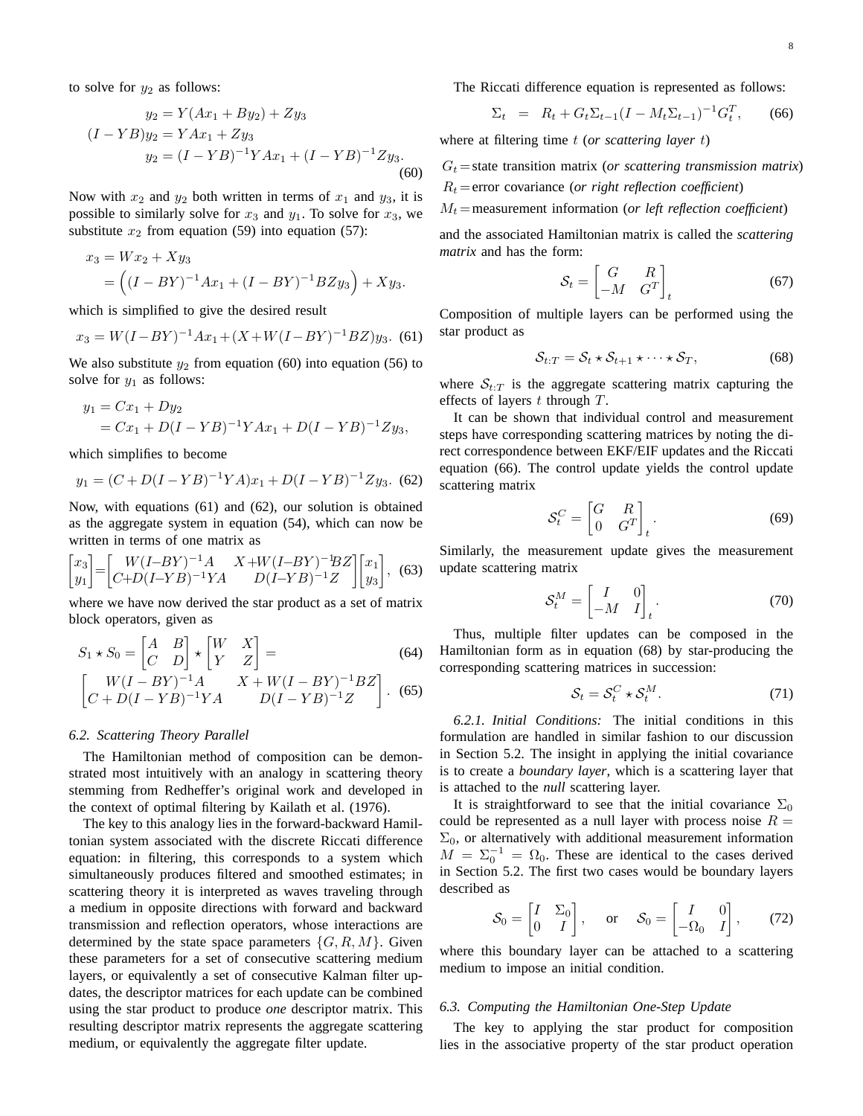to solve for  $y_2$  as follows:

$$
y_2 = Y(Ax_1 + By_2) + Zy_3
$$
  
( $I - YB$ ) $y_2 = YAx_1 + Zy_3$   
 $y_2 = (I - YB)^{-1}YAx_1 + (I - YB)^{-1}Zy_3.$  (60)

Now with  $x_2$  and  $y_2$  both written in terms of  $x_1$  and  $y_3$ , it is possible to similarly solve for  $x_3$  and  $y_1$ . To solve for  $x_3$ , we substitute  $x_2$  from equation (59) into equation (57):

$$
x_3 = Wx_2 + Xy_3
$$
  
=  $((I - BY)^{-1}Ax_1 + (I - BY)^{-1}BZy_3) + Xy_3.$ 

which is simplified to give the desired result

$$
x_3 = W(I - BY)^{-1}Ax_1 + (X + W(I - BY)^{-1}BZ)y_3.
$$
 (61)

We also substitute  $y_2$  from equation (60) into equation (56) to solve for  $y_1$  as follows:

$$
y_1 = Cx_1 + Dy_2
$$
  
=  $Cx_1 + D(I - YB)^{-1}YAx_1 + D(I - YB)^{-1}Zy_3$ ,

which simplifies to become

$$
y_1 = (C + D(I - YB)^{-1}YA)x_1 + D(I - YB)^{-1}Zy_3.
$$
 (62)

Now, with equations (61) and (62), our solution is obtained as the aggregate system in equation (54), which can now be written in terms of one matrix as

$$
\begin{bmatrix} x_3 \\ y_1 \end{bmatrix} = \begin{bmatrix} W(I - BY)^{-1}A & X + W(I - BY)^{-1}BZ \\ C + D(I - YB)^{-1}YA & D(I - YB)^{-1}Z \end{bmatrix} \begin{bmatrix} x_1 \\ y_3 \end{bmatrix}, \tag{63}
$$

where we have now derived the star product as a set of matrix block operators, given as

$$
S_1 \star S_0 = \begin{bmatrix} A & B \\ C & D \end{bmatrix} \star \begin{bmatrix} W & X \\ Y & Z \end{bmatrix} = \tag{64}
$$

$$
\begin{bmatrix} W(I - BY)^{-1}A & X + W(I - BY)^{-1}BZ \\ C + D(I - YB)^{-1}YA & D(I - YB)^{-1}Z \end{bmatrix}.
$$
 (65)

## *6.2. Scattering Theory Parallel*

The Hamiltonian method of composition can be demonstrated most intuitively with an analogy in scattering theory stemming from Redheffer's original work and developed in the context of optimal filtering by Kailath et al. (1976).

The key to this analogy lies in the forward-backward Hamiltonian system associated with the discrete Riccati difference equation: in filtering, this corresponds to a system which simultaneously produces filtered and smoothed estimates; in scattering theory it is interpreted as waves traveling through a medium in opposite directions with forward and backward transmission and reflection operators, whose interactions are determined by the state space parameters  $\{G, R, M\}$ . Given these parameters for a set of consecutive scattering medium layers, or equivalently a set of consecutive Kalman filter updates, the descriptor matrices for each update can be combined using the star product to produce *one* descriptor matrix. This resulting descriptor matrix represents the aggregate scattering medium, or equivalently the aggregate filter update.

The Riccati difference equation is represented as follows:

$$
\Sigma_t = R_t + G_t \Sigma_{t-1} (I - M_t \Sigma_{t-1})^{-1} G_t^T, \qquad (66)
$$

where at filtering time t (*or scattering layer* t)

$$
G_t
$$
 = state transition matrix (*or scattering transmission matrix*)  
 $R_t$  = error covariance (*or right reflection coefficient*)

 $M_t$  = measurement information (*or left reflection coefficient*)

and the associated Hamiltonian matrix is called the *scattering matrix* and has the form:

$$
\mathcal{S}_t = \begin{bmatrix} G & R \\ -M & G^T \end{bmatrix}_t \tag{67}
$$

Composition of multiple layers can be performed using the star product as

$$
S_{t:T} = S_t \star S_{t+1} \star \cdots \star S_T, \qquad (68)
$$

where  $S_{t:T}$  is the aggregate scattering matrix capturing the effects of layers  $t$  through  $T$ .

It can be shown that individual control and measurement steps have corresponding scattering matrices by noting the direct correspondence between EKF/EIF updates and the Riccati equation (66). The control update yields the control update scattering matrix

$$
\mathcal{S}_t^C = \begin{bmatrix} G & R \\ 0 & G^T \end{bmatrix}_t. \tag{69}
$$

Similarly, the measurement update gives the measurement update scattering matrix

$$
\mathcal{S}_t^M = \begin{bmatrix} I & 0 \\ -M & I \end{bmatrix}_t. \tag{70}
$$

Thus, multiple filter updates can be composed in the Hamiltonian form as in equation (68) by star-producing the corresponding scattering matrices in succession:

$$
\mathcal{S}_t = \mathcal{S}_t^C \star \mathcal{S}_t^M. \tag{71}
$$

*6.2.1. Initial Conditions:* The initial conditions in this formulation are handled in similar fashion to our discussion in Section 5.2. The insight in applying the initial covariance is to create a *boundary layer*, which is a scattering layer that is attached to the *null* scattering layer.

It is straightforward to see that the initial covariance  $\Sigma_0$ could be represented as a null layer with process noise  $R =$  $\Sigma_0$ , or alternatively with additional measurement information  $M = \Sigma_0^{-1} = \Omega_0$ . These are identical to the cases derived in Section 5.2. The first two cases would be boundary layers described as

$$
\mathcal{S}_0 = \begin{bmatrix} I & \Sigma_0 \\ 0 & I \end{bmatrix}, \quad \text{or} \quad \mathcal{S}_0 = \begin{bmatrix} I & 0 \\ -\Omega_0 & I \end{bmatrix}, \qquad (72)
$$

where this boundary layer can be attached to a scattering medium to impose an initial condition.

#### *6.3. Computing the Hamiltonian One-Step Update*

The key to applying the star product for composition lies in the associative property of the star product operation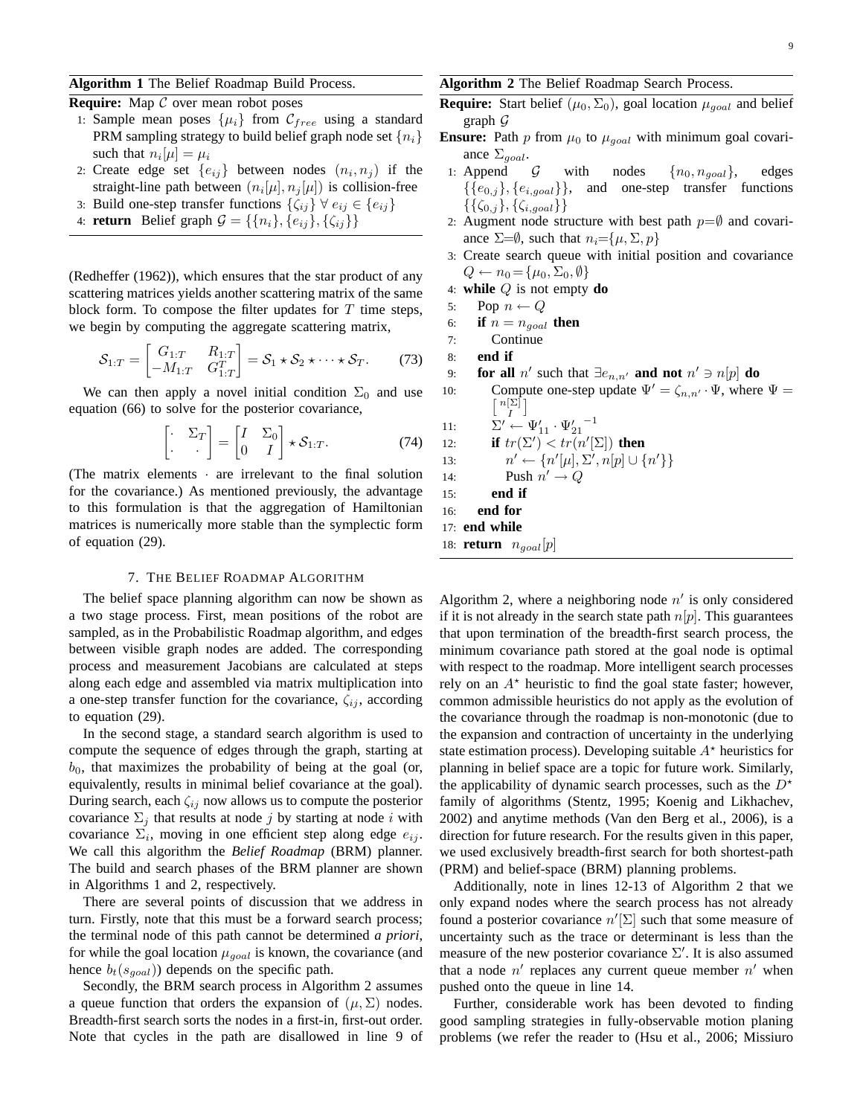**Require:** Map C over mean robot poses

- 1: Sample mean poses  $\{\mu_i\}$  from  $\mathcal{C}_{free}$  using a standard PRM sampling strategy to build belief graph node set  $\{n_i\}$ such that  $n_i[\mu] = \mu_i$
- 2: Create edge set  ${e_{ij}}$  between nodes  $(n_i, n_j)$  if the straight-line path between  $(n_i[\mu], n_j[\mu])$  is collision-free
- 3: Build one-step transfer functions  $\{\zeta_{ij}\}\ \forall\ e_{ij} \in \{e_{ij}\}\$
- 4: **return** Belief graph  $\mathcal{G} = \{\{n_i\}, \{e_{ij}\}, \{\zeta_{ij}\}\}\$

(Redheffer (1962)), which ensures that the star product of any scattering matrices yields another scattering matrix of the same block form. To compose the filter updates for  $T$  time steps, we begin by computing the aggregate scattering matrix,

$$
\mathcal{S}_{1:T} = \begin{bmatrix} G_{1:T} & R_{1:T} \\ -M_{1:T} & G_{1:T}^T \end{bmatrix} = \mathcal{S}_1 \star \mathcal{S}_2 \star \cdots \star \mathcal{S}_T.
$$
 (73)

We can then apply a novel initial condition  $\Sigma_0$  and use equation (66) to solve for the posterior covariance,

$$
\begin{bmatrix} \cdot & \Sigma_T \\ \cdot & \cdot \end{bmatrix} = \begin{bmatrix} I & \Sigma_0 \\ 0 & I \end{bmatrix} \star \mathcal{S}_{1:T}.\tag{74}
$$

(The matrix elements · are irrelevant to the final solution for the covariance.) As mentioned previously, the advantage to this formulation is that the aggregation of Hamiltonian matrices is numerically more stable than the symplectic form of equation (29).

# 7. THE BELIEF ROADMAP ALGORITHM

The belief space planning algorithm can now be shown as a two stage process. First, mean positions of the robot are sampled, as in the Probabilistic Roadmap algorithm, and edges between visible graph nodes are added. The corresponding process and measurement Jacobians are calculated at steps along each edge and assembled via matrix multiplication into a one-step transfer function for the covariance,  $\zeta_{ij}$ , according to equation (29).

In the second stage, a standard search algorithm is used to compute the sequence of edges through the graph, starting at  $b_0$ , that maximizes the probability of being at the goal (or, equivalently, results in minimal belief covariance at the goal). During search, each  $\zeta_{ij}$  now allows us to compute the posterior covariance  $\Sigma_j$  that results at node j by starting at node i with covariance  $\Sigma_i$ , moving in one efficient step along edge  $e_{ij}$ . We call this algorithm the *Belief Roadmap* (BRM) planner. The build and search phases of the BRM planner are shown in Algorithms 1 and 2, respectively.

There are several points of discussion that we address in turn. Firstly, note that this must be a forward search process; the terminal node of this path cannot be determined *a priori*, for while the goal location  $\mu_{goal}$  is known, the covariance (and hence  $b_t(s_{goal})$ ) depends on the specific path.

Secondly, the BRM search process in Algorithm 2 assumes a queue function that orders the expansion of  $(\mu, \Sigma)$  nodes. Breadth-first search sorts the nodes in a first-in, first-out order. Note that cycles in the path are disallowed in line 9 of

## **Algorithm 2** The Belief Roadmap Search Process.

- **Require:** Start belief  $(\mu_0, \Sigma_0)$ , goal location  $\mu_{goal}$  and belief graph G
- **Ensure:** Path  $p$  from  $\mu_0$  to  $\mu_{goal}$  with minimum goal covariance  $\Sigma_{goal}$ .
- 1: Append  $G$  with nodes  $\{n_0, n_{goal}\},$  edges  $\{\{e_{0,i}\}, \{e_{i,goal}\}\}\$ , and one-step transfer functions  $\{\{\zeta_{0,j}\},\{\zeta_{i,goal}\}\}\$
- 2: Augment node structure with best path  $p=\emptyset$  and covariance  $\Sigma = \emptyset$ , such that  $n_i = {\mu, \Sigma, p}$
- 3: Create search queue with initial position and covariance  $Q \leftarrow n_0 = {\mu_0, \Sigma_0, \emptyset}$
- 4: **while** Q is not empty **do**
- 5: Pop  $n \leftarrow Q$
- 6: **if**  $n = n_{goal}$  **then**
- 7: Continue
- 8: **end if**
- 9: **for all**  $n'$  such that  $\exists e_{n,n'}$  **and not**  $n' \ni n[p]$  **do** 10: Compute one-step update  $\Psi' = \zeta_{n,n'} \cdot \Psi$ , where  $\Psi =$  $\lceil$  $n[\Sigma]$  $\gamma'\stackrel{I}{\leftarrow}\Psi'_{11}\cdot{\Psi'_{21}}^{-1}$ 1  $11:$
- 12: **if**  $tr(\Sigma') < tr(n'[\Sigma])$  then
- $13:$  $\mathcal{I}' \leftarrow \{n'[\mu], \Sigma', n[p] \cup \{n'\}\}\$
- 14: Push  $n' \rightarrow Q$

15: **end if**

- 16: **end for**
- 17: **end while**
- 18: **return**  $n_{goal}[p]$

Algorithm 2, where a neighboring node  $n'$  is only considered if it is not already in the search state path  $n[p]$ . This guarantees that upon termination of the breadth-first search process, the minimum covariance path stored at the goal node is optimal with respect to the roadmap. More intelligent search processes rely on an  $A^*$  heuristic to find the goal state faster; however, common admissible heuristics do not apply as the evolution of the covariance through the roadmap is non-monotonic (due to the expansion and contraction of uncertainty in the underlying state estimation process). Developing suitable  $A^*$  heuristics for planning in belief space are a topic for future work. Similarly, the applicability of dynamic search processes, such as the  $D^*$ family of algorithms (Stentz, 1995; Koenig and Likhachev, 2002) and anytime methods (Van den Berg et al., 2006), is a direction for future research. For the results given in this paper, we used exclusively breadth-first search for both shortest-path (PRM) and belief-space (BRM) planning problems.

Additionally, note in lines 12-13 of Algorithm 2 that we only expand nodes where the search process has not already found a posterior covariance  $n'[\Sigma]$  such that some measure of uncertainty such as the trace or determinant is less than the measure of the new posterior covariance  $\Sigma'$ . It is also assumed that a node  $n'$  replaces any current queue member  $n'$  when pushed onto the queue in line 14.

Further, considerable work has been devoted to finding good sampling strategies in fully-observable motion planing problems (we refer the reader to (Hsu et al., 2006; Missiuro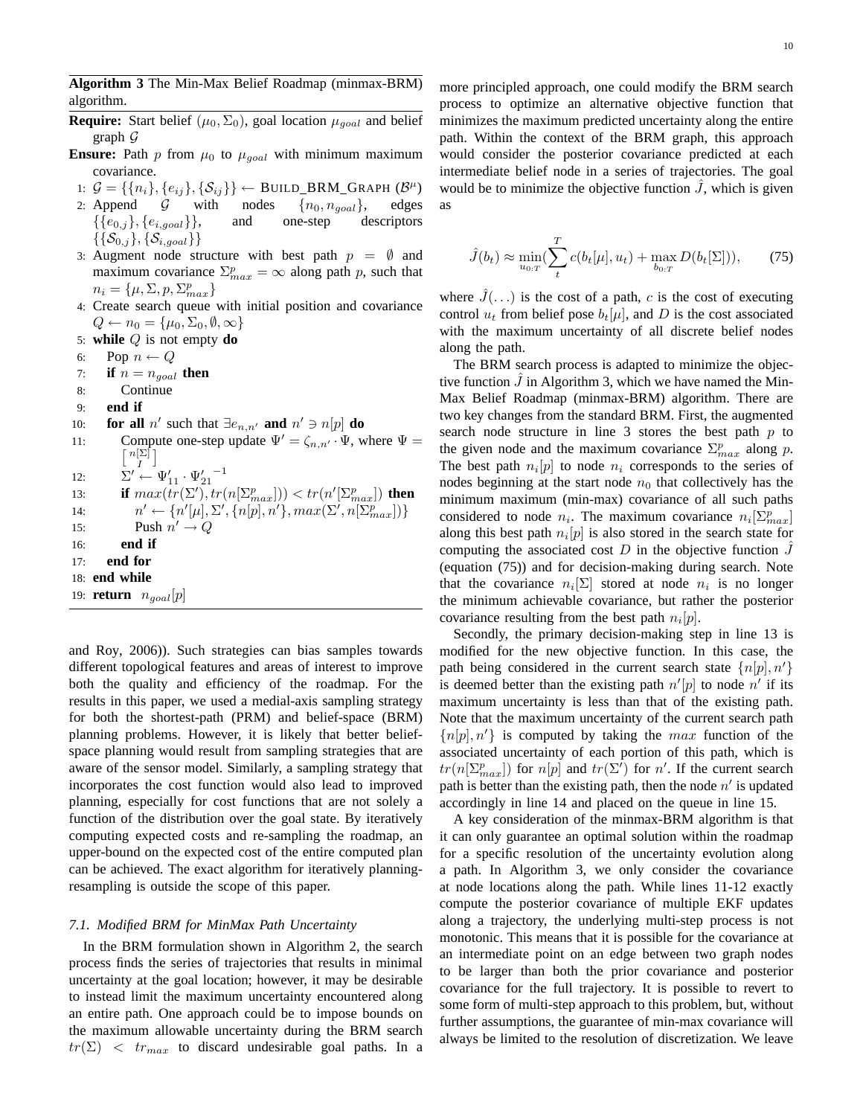**Algorithm 3** The Min-Max Belief Roadmap (minmax-BRM) algorithm.

- **Require:** Start belief  $(\mu_0, \Sigma_0)$ , goal location  $\mu_{goal}$  and belief graph G
- **Ensure:** Path p from  $\mu_0$  to  $\mu_{goal}$  with minimum maximum covariance.
- 1:  $\mathcal{G} = \{\{n_i\}, \{e_{ij}\}, \{S_{ij}\}\} \leftarrow \text{BULLBRM\_GRAPH } (\mathcal{B}^{\mu})$
- 2: Append  $G$  with nodes  $\{n_0, n_{goal}\},$  edges  $\{\{e_{0,j}\}, \{e_{i,goal}\}\}\$ , and one-step descriptors  $\{\{\mathcal{S}_{0,j}\},\{\mathcal{S}_{i,goal}\}\}\$
- 3: Augment node structure with best path  $p = \emptyset$  and maximum covariance  $\Sigma_{max}^p = \infty$  along path p, such that  $n_i = \{\mu, \Sigma, p, \Sigma_{max}^p\}$
- 4: Create search queue with initial position and covariance  $Q \leftarrow n_0 = {\mu_0, \Sigma_0, \emptyset, \infty}$

5: **while** Q is not empty **do**

- 6: Pop  $n \leftarrow Q$
- 7: **if**  $n = n_{goal}$  **then**
- 8: Continue
- 9: **end if**
- 10: **for all**  $n'$  such that  $\exists e_{n,n'}$  **and**  $n' \ni n[p]$  **do**
- 11: Compute one-step update  $\Psi' = \zeta_{n,n'} \cdot \Psi$ , where  $\Psi =$  $\begin{bmatrix} n[\Sigma] \\ I \end{bmatrix}$
- 12:  $\Sigma' \leftarrow {\Psi'_{11}} \cdot {\Psi'_{21}}^{-1}$
- 13: **if**  $max(tr(\Sigma'), tr(n[\Sigma_{max}^p])) < tr(n'[\Sigma_{max}^p])$  then
- 14:  $n' \leftarrow \{n'[\mu], \Sigma', \{n[p], n'\}, max(\Sigma', n[\Sigma_{max}^p])\}$ 15: Push  $n' \rightarrow Q$
- 16: **end if**
- 17: **end for**
- 18: **end while**

```
19: return n_{goal}[p]
```
and Roy, 2006)). Such strategies can bias samples towards different topological features and areas of interest to improve both the quality and efficiency of the roadmap. For the results in this paper, we used a medial-axis sampling strategy for both the shortest-path (PRM) and belief-space (BRM) planning problems. However, it is likely that better beliefspace planning would result from sampling strategies that are aware of the sensor model. Similarly, a sampling strategy that incorporates the cost function would also lead to improved planning, especially for cost functions that are not solely a function of the distribution over the goal state. By iteratively computing expected costs and re-sampling the roadmap, an upper-bound on the expected cost of the entire computed plan can be achieved. The exact algorithm for iteratively planningresampling is outside the scope of this paper.

## *7.1. Modified BRM for MinMax Path Uncertainty*

In the BRM formulation shown in Algorithm 2, the search process finds the series of trajectories that results in minimal uncertainty at the goal location; however, it may be desirable to instead limit the maximum uncertainty encountered along an entire path. One approach could be to impose bounds on the maximum allowable uncertainty during the BRM search  $tr(\Sigma)$  <  $tr_{max}$  to discard undesirable goal paths. In a more principled approach, one could modify the BRM search process to optimize an alternative objective function that minimizes the maximum predicted uncertainty along the entire path. Within the context of the BRM graph, this approach would consider the posterior covariance predicted at each intermediate belief node in a series of trajectories. The goal would be to minimize the objective function  $J$ , which is given as

$$
\hat{J}(b_t) \approx \min_{u_{0:T}} (\sum_t^T c(b_t[\mu], u_t) + \max_{b_{0:T}} D(b_t[\Sigma])),\tag{75}
$$

where  $J(\ldots)$  is the cost of a path, c is the cost of executing control  $u_t$  from belief pose  $b_t[\mu]$ , and D is the cost associated with the maximum uncertainty of all discrete belief nodes along the path.

The BRM search process is adapted to minimize the objective function  $\hat{J}$  in Algorithm 3, which we have named the Min-Max Belief Roadmap (minmax-BRM) algorithm. There are two key changes from the standard BRM. First, the augmented search node structure in line  $3$  stores the best path  $p$  to the given node and the maximum covariance  $\Sigma_{max}^p$  along p. The best path  $n_i[p]$  to node  $n_i$  corresponds to the series of nodes beginning at the start node  $n_0$  that collectively has the minimum maximum (min-max) covariance of all such paths considered to node  $n_i$ . The maximum covariance  $n_i[\Sigma_{max}^p]$ along this best path  $n_i[p]$  is also stored in the search state for computing the associated cost D in the objective function  $\tilde{J}$ (equation (75)) and for decision-making during search. Note that the covariance  $n_i[\Sigma]$  stored at node  $n_i$  is no longer the minimum achievable covariance, but rather the posterior covariance resulting from the best path  $n_i[p]$ .

Secondly, the primary decision-making step in line 13 is modified for the new objective function. In this case, the path being considered in the current search state  $\{n[p], n'\}$ is deemed better than the existing path  $n'[p]$  to node  $n'$  if its maximum uncertainty is less than that of the existing path. Note that the maximum uncertainty of the current search path  ${n[p], n'}$  is computed by taking the max function of the associated uncertainty of each portion of this path, which is  $tr(n[\Sigma_{max}^p])$  for  $n[p]$  and  $tr(\Sigma')$  for  $n'$ . If the current search path is better than the existing path, then the node  $n'$  is updated accordingly in line 14 and placed on the queue in line 15.

A key consideration of the minmax-BRM algorithm is that it can only guarantee an optimal solution within the roadmap for a specific resolution of the uncertainty evolution along a path. In Algorithm 3, we only consider the covariance at node locations along the path. While lines 11-12 exactly compute the posterior covariance of multiple EKF updates along a trajectory, the underlying multi-step process is not monotonic. This means that it is possible for the covariance at an intermediate point on an edge between two graph nodes to be larger than both the prior covariance and posterior covariance for the full trajectory. It is possible to revert to some form of multi-step approach to this problem, but, without further assumptions, the guarantee of min-max covariance will always be limited to the resolution of discretization. We leave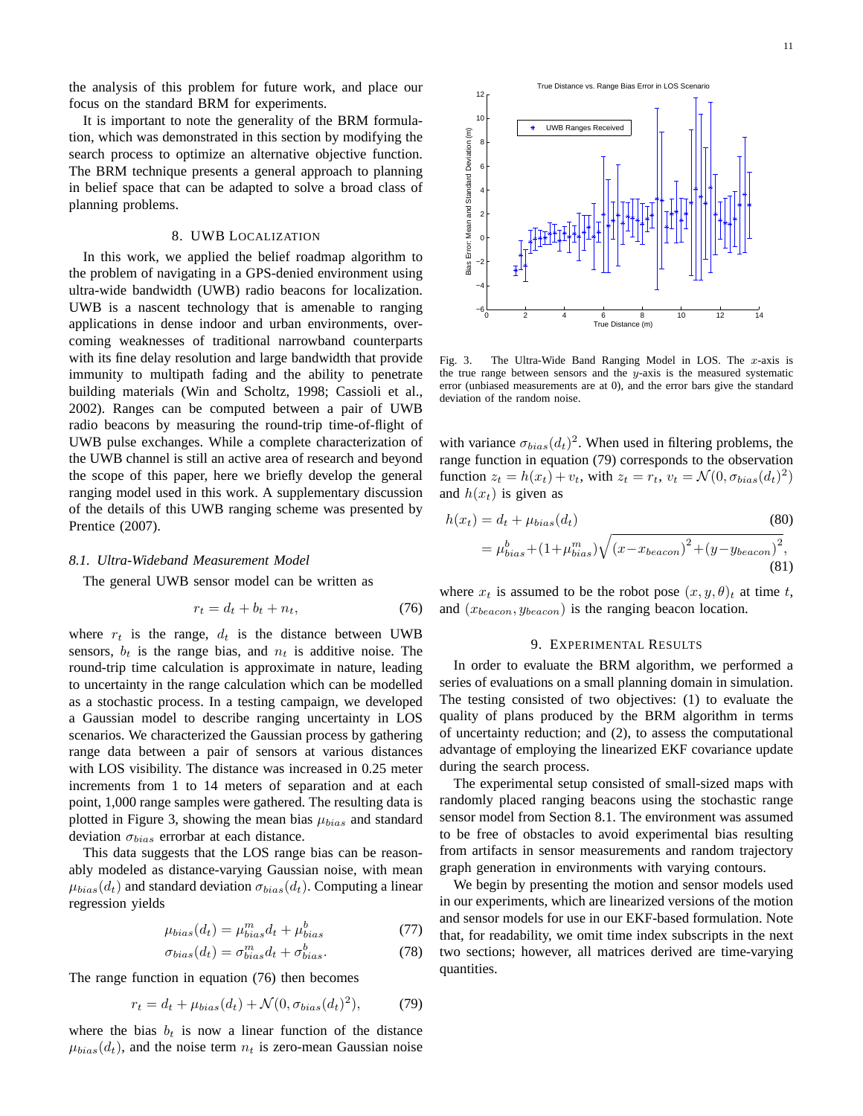the analysis of this problem for future work, and place our focus on the standard BRM for experiments.

It is important to note the generality of the BRM formulation, which was demonstrated in this section by modifying the search process to optimize an alternative objective function. The BRM technique presents a general approach to planning in belief space that can be adapted to solve a broad class of planning problems.

# 8. UWB LOCALIZATION

In this work, we applied the belief roadmap algorithm to the problem of navigating in a GPS-denied environment using ultra-wide bandwidth (UWB) radio beacons for localization. UWB is a nascent technology that is amenable to ranging applications in dense indoor and urban environments, overcoming weaknesses of traditional narrowband counterparts with its fine delay resolution and large bandwidth that provide immunity to multipath fading and the ability to penetrate building materials (Win and Scholtz, 1998; Cassioli et al., 2002). Ranges can be computed between a pair of UWB radio beacons by measuring the round-trip time-of-flight of UWB pulse exchanges. While a complete characterization of the UWB channel is still an active area of research and beyond the scope of this paper, here we briefly develop the general ranging model used in this work. A supplementary discussion of the details of this UWB ranging scheme was presented by Prentice (2007).

### *8.1. Ultra-Wideband Measurement Model*

The general UWB sensor model can be written as

$$
r_t = d_t + b_t + n_t,\tag{76}
$$

where  $r_t$  is the range,  $d_t$  is the distance between UWB sensors,  $b_t$  is the range bias, and  $n_t$  is additive noise. The round-trip time calculation is approximate in nature, leading to uncertainty in the range calculation which can be modelled as a stochastic process. In a testing campaign, we developed a Gaussian model to describe ranging uncertainty in LOS scenarios. We characterized the Gaussian process by gathering range data between a pair of sensors at various distances with LOS visibility. The distance was increased in 0.25 meter increments from 1 to 14 meters of separation and at each point, 1,000 range samples were gathered. The resulting data is plotted in Figure 3, showing the mean bias  $\mu_{bias}$  and standard deviation  $\sigma_{bias}$  errorbar at each distance.

This data suggests that the LOS range bias can be reasonably modeled as distance-varying Gaussian noise, with mean  $\mu_{bias}(d_t)$  and standard deviation  $\sigma_{bias}(d_t)$ . Computing a linear regression yields

$$
\mu_{bias}(d_t) = \mu_{bias}^m d_t + \mu_{bias}^b \tag{77}
$$

$$
\sigma_{bias}(d_t) = \sigma_{bias}^m d_t + \sigma_{bias}^b.
$$
\n(78)

The range function in equation (76) then becomes

$$
r_t = d_t + \mu_{bias}(d_t) + \mathcal{N}(0, \sigma_{bias}(d_t)^2), \tag{79}
$$

where the bias  $b_t$  is now a linear function of the distance  $\mu_{bias}(d_t)$ , and the noise term  $n_t$  is zero-mean Gaussian noise

True Distance vs. Range Bias Error in LOS Scenario



Fig. 3. The Ultra-Wide Band Ranging Model in LOS. The  $x$ -axis is the true range between sensors and the  $y$ -axis is the measured systematic error (unbiased measurements are at 0), and the error bars give the standard deviation of the random noise.

with variance  $\sigma_{bias}(d_t)^2$ . When used in filtering problems, the range function in equation (79) corresponds to the observation function  $z_t = h(x_t) + v_t$ , with  $z_t = r_t$ ,  $v_t = \mathcal{N}(0, \sigma_{bias}(d_t)^2)$ and  $h(x_t)$  is given as

$$
h(x_t) = d_t + \mu_{bias}(d_t)
$$
\n
$$
= \mu_{bias}^b + (1 + \mu_{bias}^m) \sqrt{(x - x_{beacon})^2 + (y - y_{beacon})^2},
$$
\n(81)

where  $x_t$  is assumed to be the robot pose  $(x, y, \theta)_t$  at time t, and  $(x_{beacon}, y_{beacon})$  is the ranging beacon location.

# 9. EXPERIMENTAL RESULTS

In order to evaluate the BRM algorithm, we performed a series of evaluations on a small planning domain in simulation. The testing consisted of two objectives: (1) to evaluate the quality of plans produced by the BRM algorithm in terms of uncertainty reduction; and (2), to assess the computational advantage of employing the linearized EKF covariance update during the search process.

The experimental setup consisted of small-sized maps with randomly placed ranging beacons using the stochastic range sensor model from Section 8.1. The environment was assumed to be free of obstacles to avoid experimental bias resulting from artifacts in sensor measurements and random trajectory graph generation in environments with varying contours.

We begin by presenting the motion and sensor models used in our experiments, which are linearized versions of the motion and sensor models for use in our EKF-based formulation. Note that, for readability, we omit time index subscripts in the next two sections; however, all matrices derived are time-varying quantities.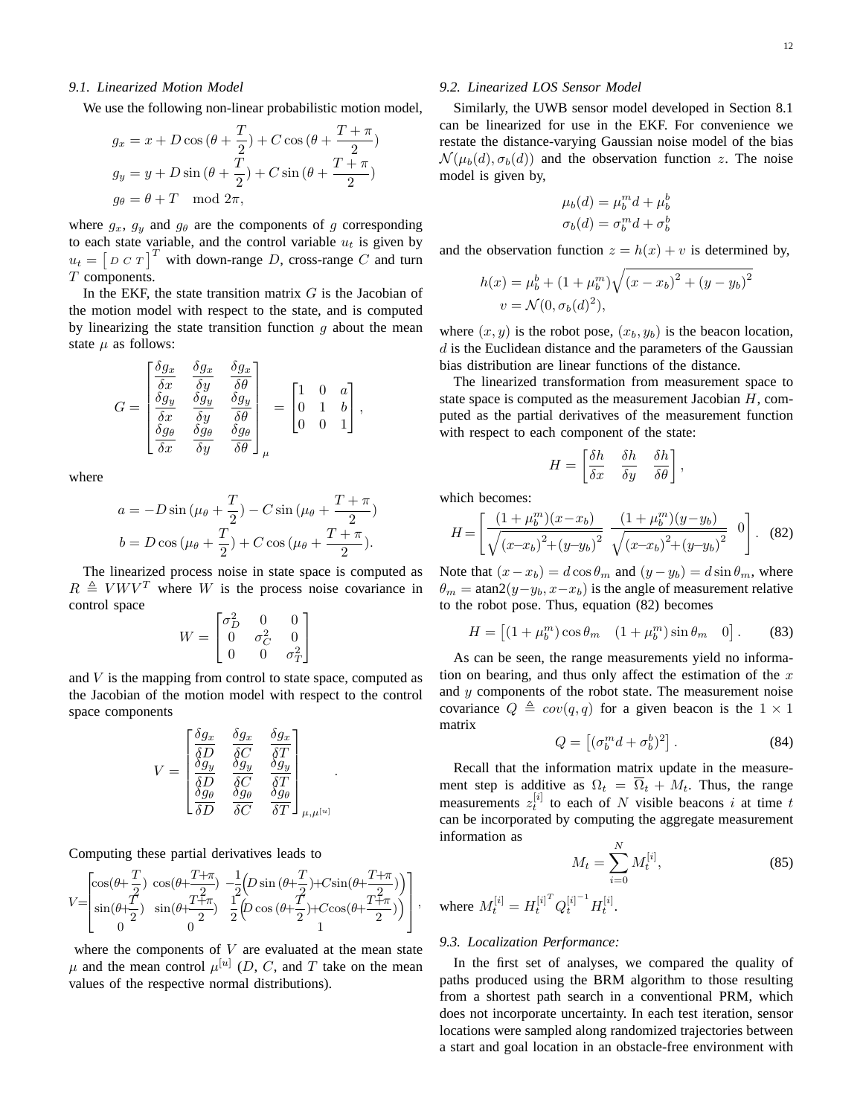#### *9.1. Linearized Motion Model*

We use the following non-linear probabilistic motion model,

$$
g_x = x + D\cos\left(\theta + \frac{T}{2}\right) + C\cos\left(\theta + \frac{T + \pi}{2}\right)
$$
  
\n
$$
g_y = y + D\sin\left(\theta + \frac{T}{2}\right) + C\sin\left(\theta + \frac{T + \pi}{2}\right)
$$
  
\n
$$
g_\theta = \theta + T \mod 2\pi,
$$

where  $g_x$ ,  $g_y$  and  $g_\theta$  are the components of g corresponding to each state variable, and the control variable  $u_t$  is given by  $u_t = \begin{bmatrix} D & C & T \end{bmatrix}^T$  with down-range D, cross-range C and turn T components.

In the EKF, the state transition matrix  $G$  is the Jacobian of the motion model with respect to the state, and is computed by linearizing the state transition function  $q$  about the mean state  $\mu$  as follows:

$$
G = \begin{bmatrix} \frac{\delta g_x}{\delta x} & \frac{\delta g_x}{\delta y} & \frac{\delta g_x}{\delta \theta} \\ \frac{\delta g_y}{\delta x} & \frac{\delta g_y}{\delta y} & \frac{\delta g_y}{\delta \theta} \\ \frac{\delta g_\theta}{\delta x} & \frac{\delta g_\theta}{\delta y} & \frac{\delta g_\theta}{\delta \theta} \end{bmatrix}_{\mu} = \begin{bmatrix} 1 & 0 & a \\ 0 & 1 & b \\ 0 & 0 & 1 \end{bmatrix},
$$

where

$$
a = -D\sin\left(\mu_{\theta} + \frac{T}{2}\right) - C\sin\left(\mu_{\theta} + \frac{T + \pi}{2}\right)
$$

$$
b = D\cos\left(\mu_{\theta} + \frac{T}{2}\right) + C\cos\left(\mu_{\theta} + \frac{T + \pi}{2}\right).
$$

The linearized process noise in state space is computed as  $R \triangleq V W V^T$  where W is the process noise covariance in control space

$$
W = \begin{bmatrix} \sigma_D^2 & 0 & 0 \\ 0 & \sigma_C^2 & 0 \\ 0 & 0 & \sigma_T^2 \end{bmatrix}
$$

and  $V$  is the mapping from control to state space, computed as the Jacobian of the motion model with respect to the control space components

$$
V = \begin{bmatrix} \frac{\delta g_x}{\delta D} & \frac{\delta g_x}{\delta C} & \frac{\delta g_x}{\delta T} \\ \frac{\delta g_y}{\delta D} & \frac{\delta g_y}{\delta C} & \frac{\delta g_y}{\delta T} \\ \frac{\delta g_\theta}{\delta D} & \frac{\delta g_\theta}{\delta C} & \frac{\delta g_\theta}{\delta T} \end{bmatrix}_{\mu,\mu^{[u]}}.
$$

Computing these partial derivatives leads to

$$
V = \begin{bmatrix} \cos(\theta + \frac{T}{2}) & \cos(\theta + \frac{T+\pi}{2}) & -\frac{1}{2}(D\sin(\theta + \frac{T}{2}) + C\sin(\theta + \frac{T+\pi}{2})) \\ \sin(\theta + \frac{T}{2}) & \sin(\theta + \frac{T+\pi}{2}) & \frac{1}{2}(D\cos(\theta + \frac{T}{2}) + C\cos(\theta + \frac{T+\pi}{2})) \\ 0 & 0 & 1 \end{bmatrix},
$$

where the components of  $V$  are evaluated at the mean state  $\mu$  and the mean control  $\mu^{[u]}$  (D, C, and T take on the mean values of the respective normal distributions).

# *9.2. Linearized LOS Sensor Model*

Similarly, the UWB sensor model developed in Section 8.1 can be linearized for use in the EKF. For convenience we restate the distance-varying Gaussian noise model of the bias  $\mathcal{N}(\mu_b(d), \sigma_b(d))$  and the observation function z. The noise model is given by,

$$
\mu_b(d) = \mu_b^m d + \mu_b^b
$$
  

$$
\sigma_b(d) = \sigma_b^m d + \sigma_b^b
$$

and the observation function  $z = h(x) + v$  is determined by,

$$
h(x) = \mu_b^b + (1 + \mu_b^m) \sqrt{(x - x_b)^2 + (y - y_b)^2}
$$
  

$$
v = \mathcal{N}(0, \sigma_b(d)^2),
$$

where  $(x, y)$  is the robot pose,  $(x_b, y_b)$  is the beacon location,  $d$  is the Euclidean distance and the parameters of the Gaussian bias distribution are linear functions of the distance.

The linearized transformation from measurement space to state space is computed as the measurement Jacobian  $H$ , computed as the partial derivatives of the measurement function with respect to each component of the state:

$$
H = \begin{bmatrix} \delta h & \delta h & \delta h \\ \overline{\delta x} & \overline{\delta y} & \overline{\delta \theta} \end{bmatrix},
$$

which becomes:

$$
H = \left[ \frac{(1 + \mu_b^m)(x - x_b)}{\sqrt{(x - x_b)^2 + (y - y_b)^2}} \frac{(1 + \mu_b^m)(y - y_b)}{\sqrt{(x - x_b)^2 + (y - y_b)^2}} \right].
$$
 (82)

Note that  $(x-x_b) = d \cos \theta_m$  and  $(y-y_b) = d \sin \theta_m$ , where  $\theta_m = \tan 2(y-y_b, x-x_b)$  is the angle of measurement relative to the robot pose. Thus, equation (82) becomes

$$
H = \left[ (1 + \mu_b^m) \cos \theta_m \quad (1 + \mu_b^m) \sin \theta_m \quad 0 \right]. \tag{83}
$$

As can be seen, the range measurements yield no information on bearing, and thus only affect the estimation of the  $x$ and  $y$  components of the robot state. The measurement noise covariance  $Q \triangleq cov(q, q)$  for a given beacon is the  $1 \times 1$ matrix

$$
Q = \left[ (\sigma_b^m d + \sigma_b^b)^2 \right]. \tag{84}
$$

Recall that the information matrix update in the measurement step is additive as  $\Omega_t = \overline{\Omega}_t + M_t$ . Thus, the range measurements  $z_t^{[i]}$  to each of N visible beacons i at time t can be incorporated by computing the aggregate measurement information as

$$
M_t = \sum_{i=0}^{N} M_t^{[i]},
$$
\n(85)

where  $M_t^{[i]} = H_t^{[i]^T} Q_t^{[i]^{-1}} H_t^{[i]}$ .

# *9.3. Localization Performance:*

In the first set of analyses, we compared the quality of paths produced using the BRM algorithm to those resulting from a shortest path search in a conventional PRM, which does not incorporate uncertainty. In each test iteration, sensor locations were sampled along randomized trajectories between a start and goal location in an obstacle-free environment with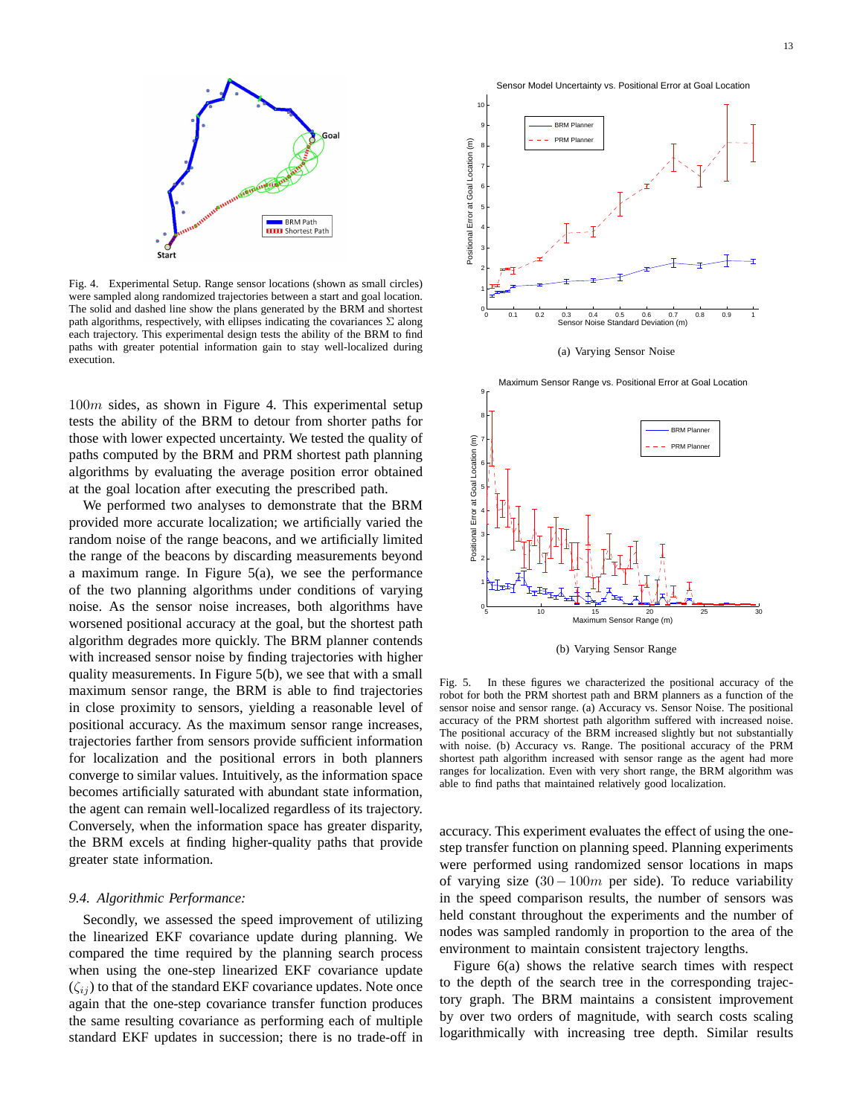

Fig. 4. Experimental Setup. Range sensor locations (shown as small circles) were sampled along randomized trajectories between a start and goal location. The solid and dashed line show the plans generated by the BRM and shortest path algorithms, respectively, with ellipses indicating the covariances  $\Sigma$  along each trajectory. This experimental design tests the ability of the BRM to find paths with greater potential information gain to stay well-localized during execution.

 $100m$  sides, as shown in Figure 4. This experimental setup tests the ability of the BRM to detour from shorter paths for those with lower expected uncertainty. We tested the quality of paths computed by the BRM and PRM shortest path planning algorithms by evaluating the average position error obtained at the goal location after executing the prescribed path.

We performed two analyses to demonstrate that the BRM provided more accurate localization; we artificially varied the random noise of the range beacons, and we artificially limited the range of the beacons by discarding measurements beyond a maximum range. In Figure 5(a), we see the performance of the two planning algorithms under conditions of varying noise. As the sensor noise increases, both algorithms have worsened positional accuracy at the goal, but the shortest path algorithm degrades more quickly. The BRM planner contends with increased sensor noise by finding trajectories with higher quality measurements. In Figure 5(b), we see that with a small maximum sensor range, the BRM is able to find trajectories in close proximity to sensors, yielding a reasonable level of positional accuracy. As the maximum sensor range increases, trajectories farther from sensors provide sufficient information for localization and the positional errors in both planners converge to similar values. Intuitively, as the information space becomes artificially saturated with abundant state information, the agent can remain well-localized regardless of its trajectory. Conversely, when the information space has greater disparity, the BRM excels at finding higher-quality paths that provide greater state information.

## *9.4. Algorithmic Performance:*

Secondly, we assessed the speed improvement of utilizing the linearized EKF covariance update during planning. We compared the time required by the planning search process when using the one-step linearized EKF covariance update  $(\zeta_{ii})$  to that of the standard EKF covariance updates. Note once again that the one-step covariance transfer function produces the same resulting covariance as performing each of multiple standard EKF updates in succession; there is no trade-off in Sensor Model Uncertainty vs. Positional Error at Goal Location



(a) Varying Sensor Noise



(b) Varying Sensor Range

Fig. 5. In these figures we characterized the positional accuracy of the robot for both the PRM shortest path and BRM planners as a function of the sensor noise and sensor range. (a) Accuracy vs. Sensor Noise. The positional accuracy of the PRM shortest path algorithm suffered with increased noise. The positional accuracy of the BRM increased slightly but not substantially with noise. (b) Accuracy vs. Range. The positional accuracy of the PRM shortest path algorithm increased with sensor range as the agent had more ranges for localization. Even with very short range, the BRM algorithm was able to find paths that maintained relatively good localization.

accuracy. This experiment evaluates the effect of using the onestep transfer function on planning speed. Planning experiments were performed using randomized sensor locations in maps of varying size  $(30-100m)$  per side). To reduce variability in the speed comparison results, the number of sensors was held constant throughout the experiments and the number of nodes was sampled randomly in proportion to the area of the environment to maintain consistent trajectory lengths.

Figure 6(a) shows the relative search times with respect to the depth of the search tree in the corresponding trajectory graph. The BRM maintains a consistent improvement by over two orders of magnitude, with search costs scaling logarithmically with increasing tree depth. Similar results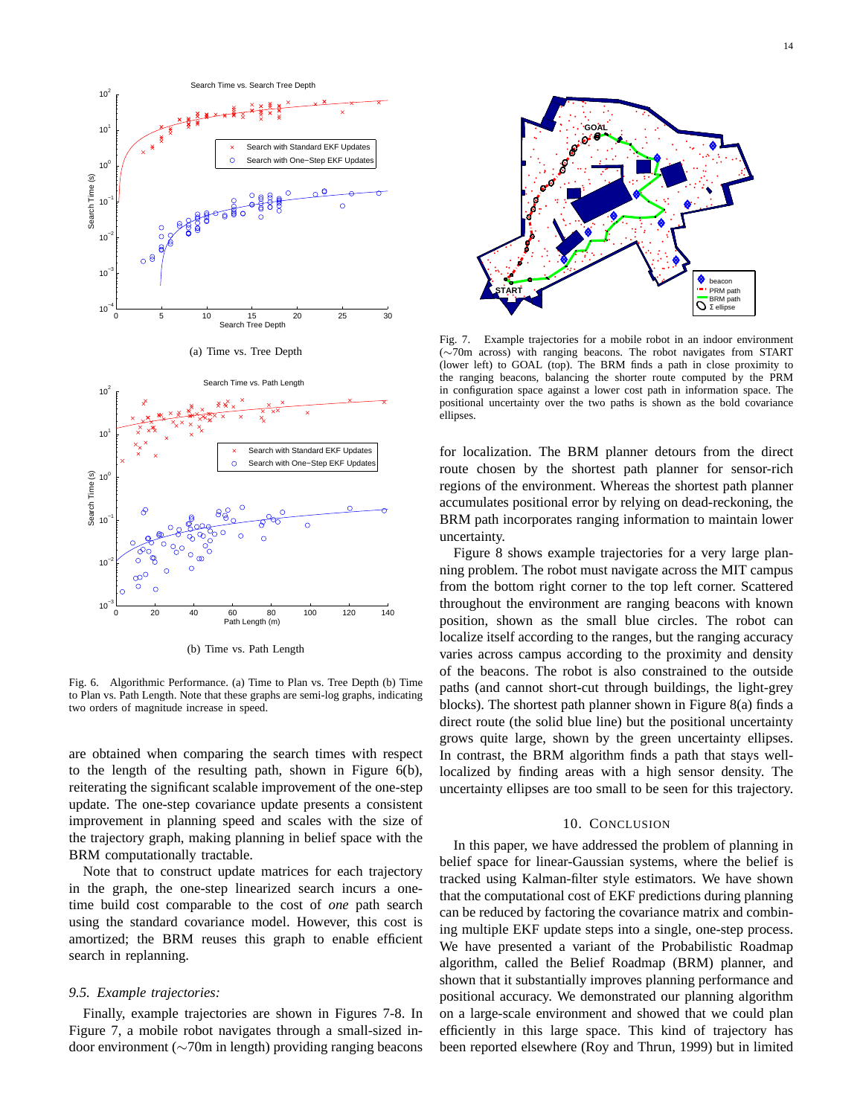



(b) Time vs. Path Length

Fig. 6. Algorithmic Performance. (a) Time to Plan vs. Tree Depth (b) Time to Plan vs. Path Length. Note that these graphs are semi-log graphs, indicating two orders of magnitude increase in speed.

are obtained when comparing the search times with respect to the length of the resulting path, shown in Figure 6(b), reiterating the significant scalable improvement of the one-step update. The one-step covariance update presents a consistent improvement in planning speed and scales with the size of the trajectory graph, making planning in belief space with the BRM computationally tractable.

Note that to construct update matrices for each trajectory in the graph, the one-step linearized search incurs a onetime build cost comparable to the cost of *one* path search using the standard covariance model. However, this cost is amortized; the BRM reuses this graph to enable efficient search in replanning.

# *9.5. Example trajectories:*

Finally, example trajectories are shown in Figures 7-8. In Figure 7, a mobile robot navigates through a small-sized indoor environment (∼70m in length) providing ranging beacons



Fig. 7. Example trajectories for a mobile robot in an indoor environment (∼70m across) with ranging beacons. The robot navigates from START (lower left) to GOAL (top). The BRM finds a path in close proximity to the ranging beacons, balancing the shorter route computed by the PRM in configuration space against a lower cost path in information space. The positional uncertainty over the two paths is shown as the bold covariance ellipses.

for localization. The BRM planner detours from the direct route chosen by the shortest path planner for sensor-rich regions of the environment. Whereas the shortest path planner accumulates positional error by relying on dead-reckoning, the BRM path incorporates ranging information to maintain lower uncertainty.

Figure 8 shows example trajectories for a very large planning problem. The robot must navigate across the MIT campus from the bottom right corner to the top left corner. Scattered throughout the environment are ranging beacons with known position, shown as the small blue circles. The robot can localize itself according to the ranges, but the ranging accuracy varies across campus according to the proximity and density of the beacons. The robot is also constrained to the outside paths (and cannot short-cut through buildings, the light-grey blocks). The shortest path planner shown in Figure 8(a) finds a direct route (the solid blue line) but the positional uncertainty grows quite large, shown by the green uncertainty ellipses. In contrast, the BRM algorithm finds a path that stays welllocalized by finding areas with a high sensor density. The uncertainty ellipses are too small to be seen for this trajectory.

#### 10. CONCLUSION

In this paper, we have addressed the problem of planning in belief space for linear-Gaussian systems, where the belief is tracked using Kalman-filter style estimators. We have shown that the computational cost of EKF predictions during planning can be reduced by factoring the covariance matrix and combining multiple EKF update steps into a single, one-step process. We have presented a variant of the Probabilistic Roadmap algorithm, called the Belief Roadmap (BRM) planner, and shown that it substantially improves planning performance and positional accuracy. We demonstrated our planning algorithm on a large-scale environment and showed that we could plan efficiently in this large space. This kind of trajectory has been reported elsewhere (Roy and Thrun, 1999) but in limited